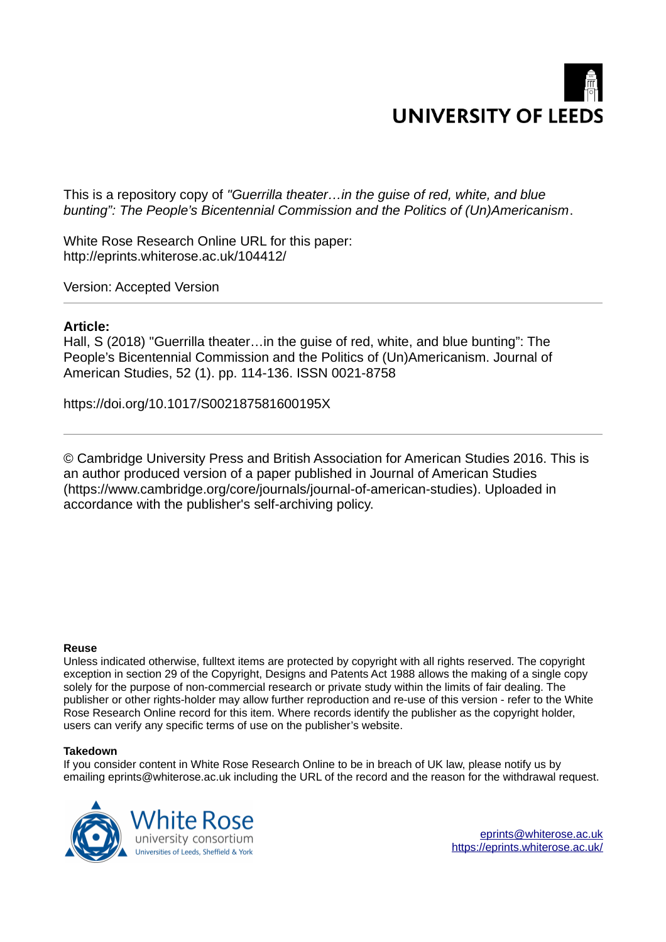

This is a repository copy of *"Guerrilla theater…in the guise of red, white, and blue bunting": The People's Bicentennial Commission and the Politics of (Un)Americanism*.

White Rose Research Online URL for this paper: http://eprints.whiterose.ac.uk/104412/

Version: Accepted Version

## **Article:**

Hall, S (2018) "Guerrilla theater…in the guise of red, white, and blue bunting": The People's Bicentennial Commission and the Politics of (Un)Americanism. Journal of American Studies, 52 (1). pp. 114-136. ISSN 0021-8758

https://doi.org/10.1017/S002187581600195X

© Cambridge University Press and British Association for American Studies 2016. This is an author produced version of a paper published in Journal of American Studies (https://www.cambridge.org/core/journals/journal-of-american-studies). Uploaded in accordance with the publisher's self-archiving policy.

## **Reuse**

Unless indicated otherwise, fulltext items are protected by copyright with all rights reserved. The copyright exception in section 29 of the Copyright, Designs and Patents Act 1988 allows the making of a single copy solely for the purpose of non-commercial research or private study within the limits of fair dealing. The publisher or other rights-holder may allow further reproduction and re-use of this version - refer to the White Rose Research Online record for this item. Where records identify the publisher as the copyright holder, users can verify any specific terms of use on the publisher's website.

## **Takedown**

If you consider content in White Rose Research Online to be in breach of UK law, please notify us by emailing eprints@whiterose.ac.uk including the URL of the record and the reason for the withdrawal request.

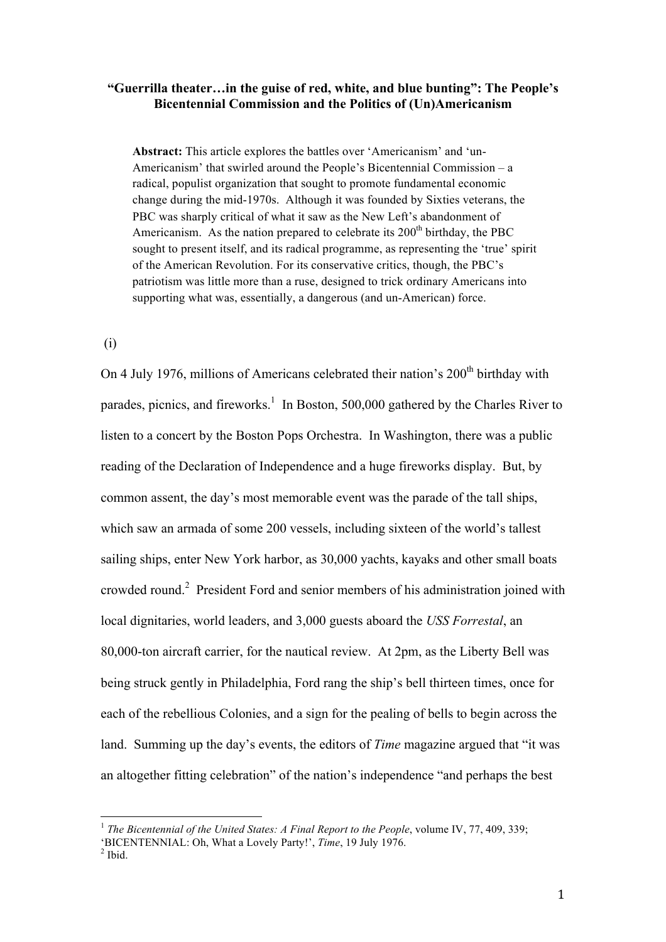## **"Guerrilla theater…in the guise of red, white, and blue bunting": The People's Bicentennial Commission and the Politics of (Un)Americanism**

**Abstract:** This article explores the battles over 'Americanism' and 'un-Americanism' that swirled around the People's Bicentennial Commission – a radical, populist organization that sought to promote fundamental economic change during the mid-1970s. Although it was founded by Sixties veterans, the PBC was sharply critical of what it saw as the New Left's abandonment of Americanism. As the nation prepared to celebrate its  $200<sup>th</sup>$  birthday, the PBC sought to present itself, and its radical programme, as representing the 'true' spirit of the American Revolution. For its conservative critics, though, the PBC's patriotism was little more than a ruse, designed to trick ordinary Americans into supporting what was, essentially, a dangerous (and un-American) force.

(i)

On 4 July 1976, millions of Americans celebrated their nation's  $200<sup>th</sup>$  birthday with parades, picnics, and fireworks.<sup>1</sup> In Boston, 500,000 gathered by the Charles River to listen to a concert by the Boston Pops Orchestra. In Washington, there was a public reading of the Declaration of Independence and a huge fireworks display. But, by common assent, the day's most memorable event was the parade of the tall ships, which saw an armada of some 200 vessels, including sixteen of the world's tallest sailing ships, enter New York harbor, as 30,000 yachts, kayaks and other small boats crowded round.<sup>2</sup> President Ford and senior members of his administration joined with local dignitaries, world leaders, and 3,000 guests aboard the *USS Forrestal*, an 80,000-ton aircraft carrier, for the nautical review. At 2pm, as the Liberty Bell was being struck gently in Philadelphia, Ford rang the ship's bell thirteen times, once for each of the rebellious Colonies, and a sign for the pealing of bells to begin across the land. Summing up the day's events, the editors of *Time* magazine argued that "it was an altogether fitting celebration" of the nation's independence "and perhaps the best

<sup>&</sup>lt;sup>1</sup> The Bicentennial of the United States: A Final Report to the People, volume IV, 77, 409, 339;

<sup>&#</sup>x27;BICENTENNIAL: Oh, What a Lovely Party!', *Time*, 19 July 1976.

 $<sup>2</sup>$  Ibid.</sup>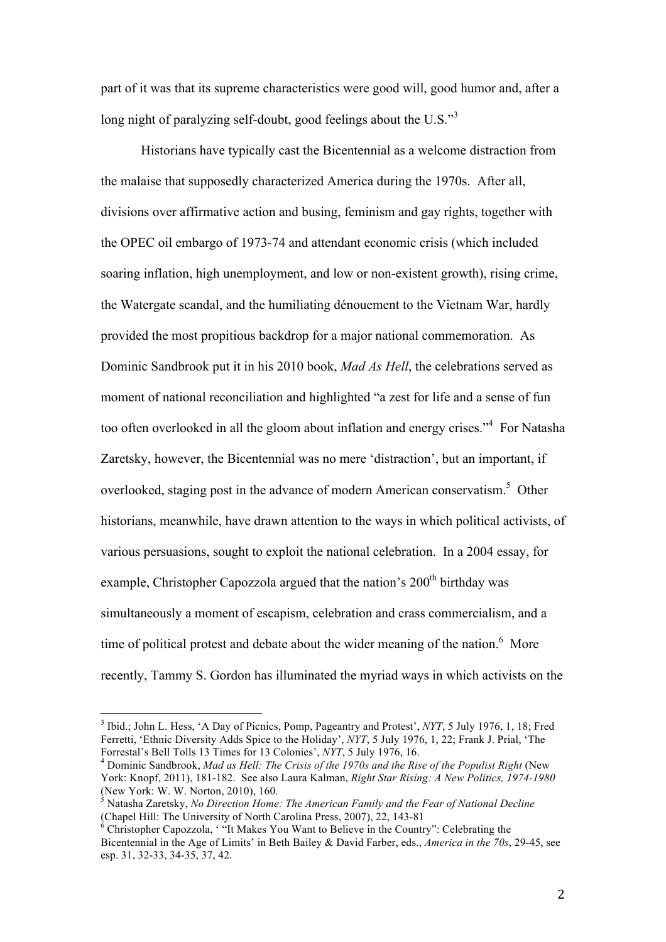part of it was that its supreme characteristics were good will, good humor and, after a long night of paralyzing self-doubt, good feelings about the U.S."<sup>3</sup>

Historians have typically cast the Bicentennial as a welcome distraction from the malaise that supposedly characterized America during the 1970s. After all, divisions over affirmative action and busing, feminism and gay rights, together with the OPEC oil embargo of 1973-74 and attendant economic crisis (which included soaring inflation, high unemployment, and low or non-existent growth), rising crime, the Watergate scandal, and the humiliating dénouement to the Vietnam War, hardly provided the most propitious backdrop for a major national commemoration. As Dominic Sandbrook put it in his 2010 book, *Mad As Hell*, the celebrations served as moment of national reconciliation and highlighted "a zest for life and a sense of fun too often overlooked in all the gloom about inflation and energy crises."<sup>4</sup> For Natasha Zaretsky, however, the Bicentennial was no mere 'distraction', but an important, if overlooked, staging post in the advance of modern American conservatism.<sup>5</sup> Other historians, meanwhile, have drawn attention to the ways in which political activists, of various persuasions, sought to exploit the national celebration. In a 2004 essay, for example, Christopher Capozzola argued that the nation's  $200<sup>th</sup>$  birthday was simultaneously a moment of escapism, celebration and crass commercialism, and a time of political protest and debate about the wider meaning of the nation.<sup>6</sup> More recently, Tammy S. Gordon has illuminated the myriad ways in which activists on the

<sup>&</sup>lt;sup>3</sup> Ibid.; John L. Hess, 'A Day of Picnics, Pomp, Pageantry and Protest', *NYT*, 5 July 1976, 1, 18; Fred Ferretti, 'Ethnic Diversity Adds Spice to the Holiday', *NYT*, 5 July 1976, 1, 22; Frank J. Prial, 'The Forrestal's Bell Tolls 13 Times for 13 Colonies', *NYT*, 5 July 1976, 16.

<sup>4</sup> Dominic Sandbrook, *Mad as Hell: The Crisis of the 1970s and the Rise of the Populist Right* (New York: Knopf, 2011), 181-182. See also Laura Kalman, *Right Star Rising: A New Politics, 1974-1980* (New York: W. W. Norton, 2010), 160.

<sup>5</sup> Natasha Zaretsky, *No Direction Home: The American Family and the Fear of National Decline* (Chapel Hill: The University of North Carolina Press, 2007), 22, 143-81

 $6$  Christopher Capozzola, '"It Makes You Want to Believe in the Country": Celebrating the Bicentennial in the Age of Limits' in Beth Bailey & David Farber, eds., *America in the 70s*, 29-45, see esp. 31, 32-33, 34-35, 37, 42.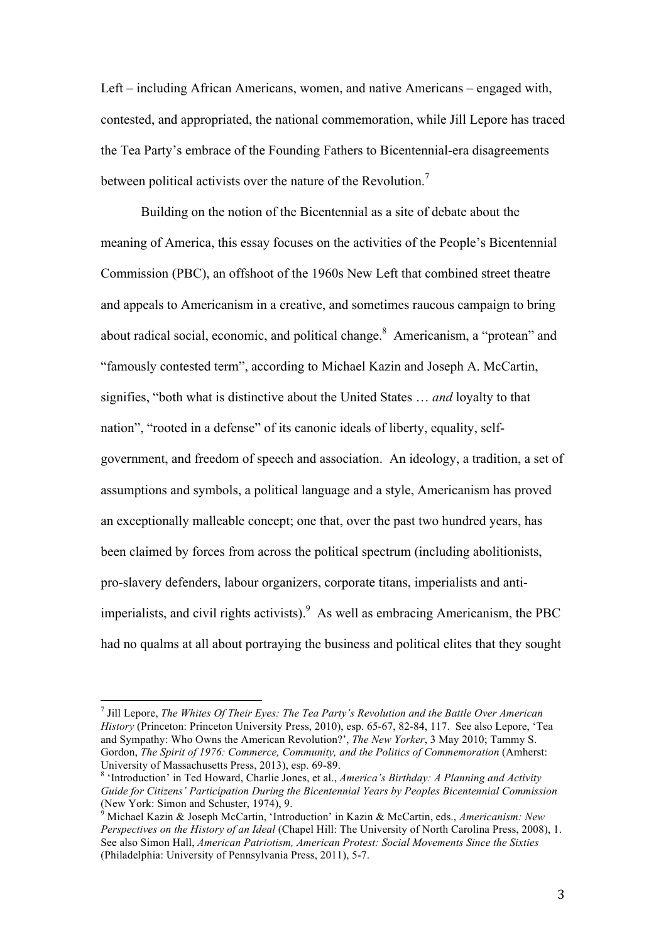Left – including African Americans, women, and native Americans – engaged with, contested, and appropriated, the national commemoration, while Jill Lepore has traced the Tea Party's embrace of the Founding Fathers to Bicentennial-era disagreements between political activists over the nature of the Revolution.<sup>7</sup>

Building on the notion of the Bicentennial as a site of debate about the meaning of America, this essay focuses on the activities of the People's Bicentennial Commission (PBC), an offshoot of the 1960s New Left that combined street theatre and appeals to Americanism in a creative, and sometimes raucous campaign to bring about radical social, economic, and political change.<sup>8</sup> Americanism, a "protean" and "famously contested term", according to Michael Kazin and Joseph A. McCartin, signifies, "both what is distinctive about the United States … *and* loyalty to that nation", "rooted in a defense" of its canonic ideals of liberty, equality, selfgovernment, and freedom of speech and association. An ideology, a tradition, a set of assumptions and symbols, a political language and a style, Americanism has proved an exceptionally malleable concept; one that, over the past two hundred years, has been claimed by forces from across the political spectrum (including abolitionists, pro-slavery defenders, labour organizers, corporate titans, imperialists and antiimperialists, and civil rights activists). As well as embracing Americanism, the PBC had no qualms at all about portraying the business and political elites that they sought

<sup>7</sup> Jill Lepore, *The Whites Of Their Eyes: The Tea Party's Revolution and the Battle Over American History* (Princeton: Princeton University Press, 2010), esp. 65-67, 82-84, 117. See also Lepore, 'Tea and Sympathy: Who Owns the American Revolution?', *The New Yorker*, 3 May 2010; Tammy S. Gordon, *The Spirit of 1976: Commerce, Community, and the Politics of Commemoration* (Amherst: University of Massachusetts Press, 2013), esp. 69-89.

<sup>8</sup> 'Introduction' in Ted Howard, Charlie Jones, et al., *America's Birthday: A Planning and Activity Guide for Citizens' Participation During the Bicentennial Years by Peoples Bicentennial Commission* (New York: Simon and Schuster, 1974), 9.

<sup>9</sup> Michael Kazin & Joseph McCartin, 'Introduction' in Kazin & McCartin, eds., *Americanism: New Perspectives on the History of an Ideal* (Chapel Hill: The University of North Carolina Press, 2008), 1. See also Simon Hall, *American Patriotism, American Protest: Social Movements Since the Sixties* (Philadelphia: University of Pennsylvania Press, 2011), 5-7.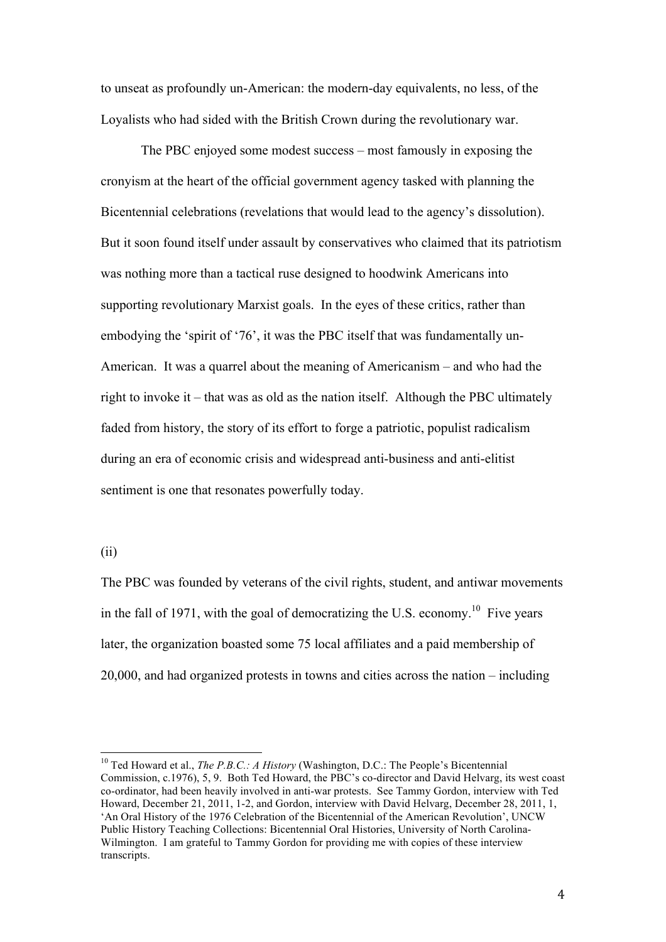to unseat as profoundly un-American: the modern-day equivalents, no less, of the Loyalists who had sided with the British Crown during the revolutionary war.

The PBC enjoyed some modest success – most famously in exposing the cronyism at the heart of the official government agency tasked with planning the Bicentennial celebrations (revelations that would lead to the agency's dissolution). But it soon found itself under assault by conservatives who claimed that its patriotism was nothing more than a tactical ruse designed to hoodwink Americans into supporting revolutionary Marxist goals. In the eyes of these critics, rather than embodying the 'spirit of '76', it was the PBC itself that was fundamentally un-American. It was a quarrel about the meaning of Americanism – and who had the right to invoke it – that was as old as the nation itself. Although the PBC ultimately faded from history, the story of its effort to forge a patriotic, populist radicalism during an era of economic crisis and widespread anti-business and anti-elitist sentiment is one that resonates powerfully today.

(ii)

 $\overline{a}$ 

The PBC was founded by veterans of the civil rights, student, and antiwar movements in the fall of 1971, with the goal of democratizing the U.S. economy.<sup>10</sup> Five years later, the organization boasted some 75 local affiliates and a paid membership of 20,000, and had organized protests in towns and cities across the nation – including

<sup>10</sup> Ted Howard et al., *The P.B.C.: A History* (Washington, D.C.: The People's Bicentennial Commission, c.1976), 5, 9. Both Ted Howard, the PBC's co-director and David Helvarg, its west coast co-ordinator, had been heavily involved in anti-war protests. See Tammy Gordon, interview with Ted Howard, December 21, 2011, 1-2, and Gordon, interview with David Helvarg, December 28, 2011, 1, 'An Oral History of the 1976 Celebration of the Bicentennial of the American Revolution', UNCW Public History Teaching Collections: Bicentennial Oral Histories, University of North Carolina-Wilmington. I am grateful to Tammy Gordon for providing me with copies of these interview transcripts.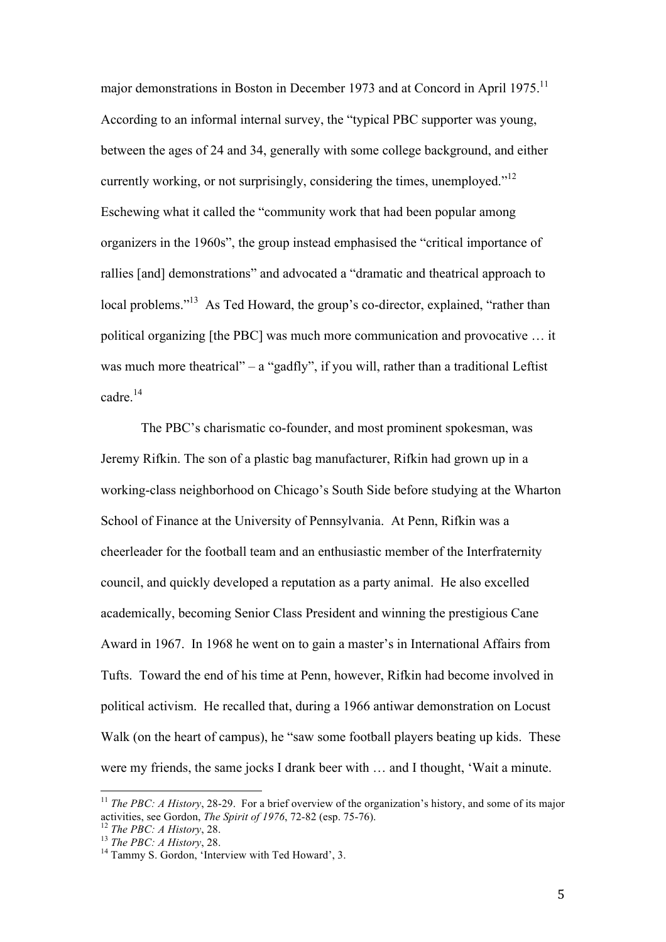major demonstrations in Boston in December 1973 and at Concord in April 1975.<sup>11</sup> According to an informal internal survey, the "typical PBC supporter was young, between the ages of 24 and 34, generally with some college background, and either currently working, or not surprisingly, considering the times, unemployed."<sup>12</sup> Eschewing what it called the "community work that had been popular among organizers in the 1960s", the group instead emphasised the "critical importance of rallies [and] demonstrations" and advocated a "dramatic and theatrical approach to local problems."<sup>13</sup> As Ted Howard, the group's co-director, explained, "rather than political organizing [the PBC] was much more communication and provocative … it was much more theatrical" – a "gadfly", if you will, rather than a traditional Leftist cadre.<sup>14</sup>

The PBC's charismatic co-founder, and most prominent spokesman, was Jeremy Rifkin. The son of a plastic bag manufacturer, Rifkin had grown up in a working-class neighborhood on Chicago's South Side before studying at the Wharton School of Finance at the University of Pennsylvania. At Penn, Rifkin was a cheerleader for the football team and an enthusiastic member of the Interfraternity council, and quickly developed a reputation as a party animal. He also excelled academically, becoming Senior Class President and winning the prestigious Cane Award in 1967. In 1968 he went on to gain a master's in International Affairs from Tufts. Toward the end of his time at Penn, however, Rifkin had become involved in political activism. He recalled that, during a 1966 antiwar demonstration on Locust Walk (on the heart of campus), he "saw some football players beating up kids. These were my friends, the same jocks I drank beer with … and I thought, 'Wait a minute.

<sup>&</sup>lt;sup>11</sup> *The PBC: A History*, 28-29. For a brief overview of the organization's history, and some of its major activities, see Gordon, *The Spirit of 1976*, 72-82 (esp. 75-76).

<sup>12</sup> *The PBC: A History*, 28.

<sup>13</sup> *The PBC: A History*, 28.

<sup>&</sup>lt;sup>14</sup> Tammy S. Gordon, 'Interview with Ted Howard', 3.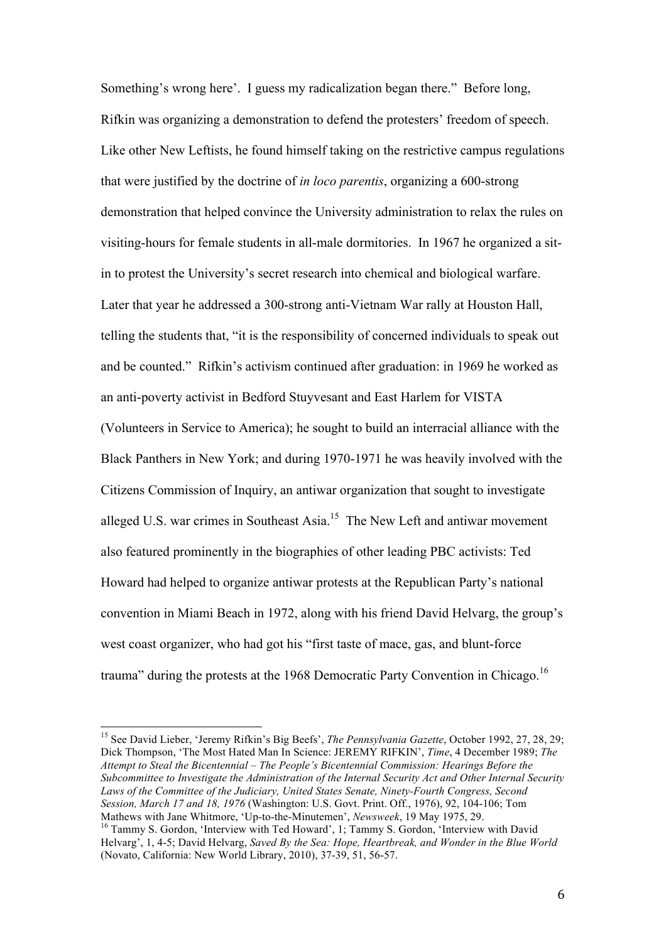Something's wrong here'. I guess my radicalization began there." Before long, Rifkin was organizing a demonstration to defend the protesters' freedom of speech. Like other New Leftists, he found himself taking on the restrictive campus regulations that were justified by the doctrine of *in loco parentis*, organizing a 600-strong demonstration that helped convince the University administration to relax the rules on visiting-hours for female students in all-male dormitories. In 1967 he organized a sitin to protest the University's secret research into chemical and biological warfare. Later that year he addressed a 300-strong anti-Vietnam War rally at Houston Hall, telling the students that, "it is the responsibility of concerned individuals to speak out and be counted." Rifkin's activism continued after graduation: in 1969 he worked as an anti-poverty activist in Bedford Stuyvesant and East Harlem for VISTA (Volunteers in Service to America); he sought to build an interracial alliance with the Black Panthers in New York; and during 1970-1971 he was heavily involved with the Citizens Commission of Inquiry, an antiwar organization that sought to investigate alleged U.S. war crimes in Southeast Asia.<sup>15</sup> The New Left and antiwar movement also featured prominently in the biographies of other leading PBC activists: Ted Howard had helped to organize antiwar protests at the Republican Party's national convention in Miami Beach in 1972, along with his friend David Helvarg, the group's west coast organizer, who had got his "first taste of mace, gas, and blunt-force

trauma" during the protests at the 1968 Democratic Party Convention in Chicago.<sup>16</sup>

<sup>15</sup> See David Lieber, 'Jeremy Rifkin's Big Beefs', *The Pennsylvania Gazette*, October 1992, 27, 28, 29; Dick Thompson, 'The Most Hated Man In Science: JEREMY RIFKIN', *Time*, 4 December 1989; *The Attempt to Steal the Bicentennial – The People's Bicentennial Commission: Hearings Before the Subcommittee to Investigate the Administration of the Internal Security Act and Other Internal Security Laws of the Committee of the Judiciary, United States Senate, Ninety-Fourth Congress, Second Session, March 17 and 18, 1976* (Washington: U.S. Govt. Print. Off., 1976), 92, 104-106; Tom Mathews with Jane Whitmore, 'Up-to-the-Minutemen', *Newsweek*, 19 May 1975, 29.

<sup>&</sup>lt;sup>16</sup> Tammy S. Gordon, 'Interview with Ted Howard', 1; Tammy S. Gordon, 'Interview with David Helvarg', 1, 4-5; David Helvarg, *Saved By the Sea: Hope, Heartbreak, and Wonder in the Blue World* (Novato, California: New World Library, 2010), 37-39, 51, 56-57.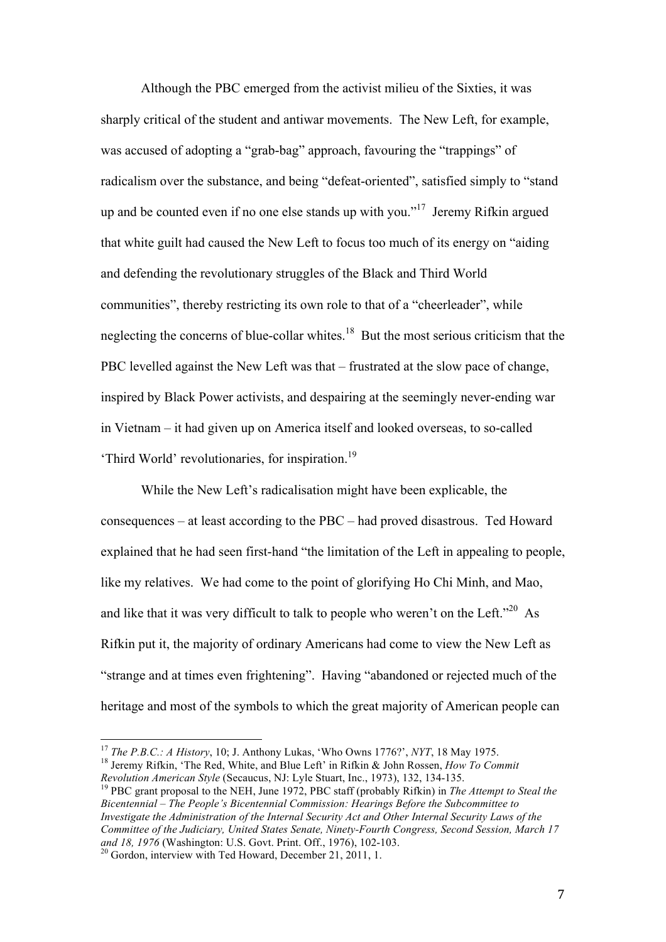Although the PBC emerged from the activist milieu of the Sixties, it was sharply critical of the student and antiwar movements. The New Left, for example, was accused of adopting a "grab-bag" approach, favouring the "trappings" of radicalism over the substance, and being "defeat-oriented", satisfied simply to "stand up and be counted even if no one else stands up with you."<sup>17</sup> Jeremy Rifkin argued that white guilt had caused the New Left to focus too much of its energy on "aiding and defending the revolutionary struggles of the Black and Third World communities", thereby restricting its own role to that of a "cheerleader", while neglecting the concerns of blue-collar whites.<sup>18</sup> But the most serious criticism that the PBC levelled against the New Left was that – frustrated at the slow pace of change, inspired by Black Power activists, and despairing at the seemingly never-ending war in Vietnam – it had given up on America itself and looked overseas, to so-called 'Third World' revolutionaries, for inspiration.<sup>19</sup>

While the New Left's radicalisation might have been explicable, the consequences – at least according to the PBC – had proved disastrous. Ted Howard explained that he had seen first-hand "the limitation of the Left in appealing to people, like my relatives. We had come to the point of glorifying Ho Chi Minh, and Mao, and like that it was very difficult to talk to people who weren't on the Left."<sup>20</sup> As Rifkin put it, the majority of ordinary Americans had come to view the New Left as "strange and at times even frightening". Having "abandoned or rejected much of the heritage and most of the symbols to which the great majority of American people can

<sup>17</sup> *The P.B.C.: A History*, 10; J. Anthony Lukas, 'Who Owns 1776?', *NYT*, 18 May 1975.

<sup>18</sup> Jeremy Rifkin, 'The Red, White, and Blue Left' in Rifkin & John Rossen, *How To Commit Revolution American Style* (Secaucus, NJ: Lyle Stuart, Inc., 1973), 132, 134-135.

<sup>19</sup> PBC grant proposal to the NEH, June 1972, PBC staff (probably Rifkin) in *The Attempt to Steal the Bicentennial – The People's Bicentennial Commission: Hearings Before the Subcommittee to Investigate the Administration of the Internal Security Act and Other Internal Security Laws of the Committee of the Judiciary, United States Senate, Ninety-Fourth Congress, Second Session, March 17 and 18, 1976* (Washington: U.S. Govt. Print. Off., 1976), 102-103.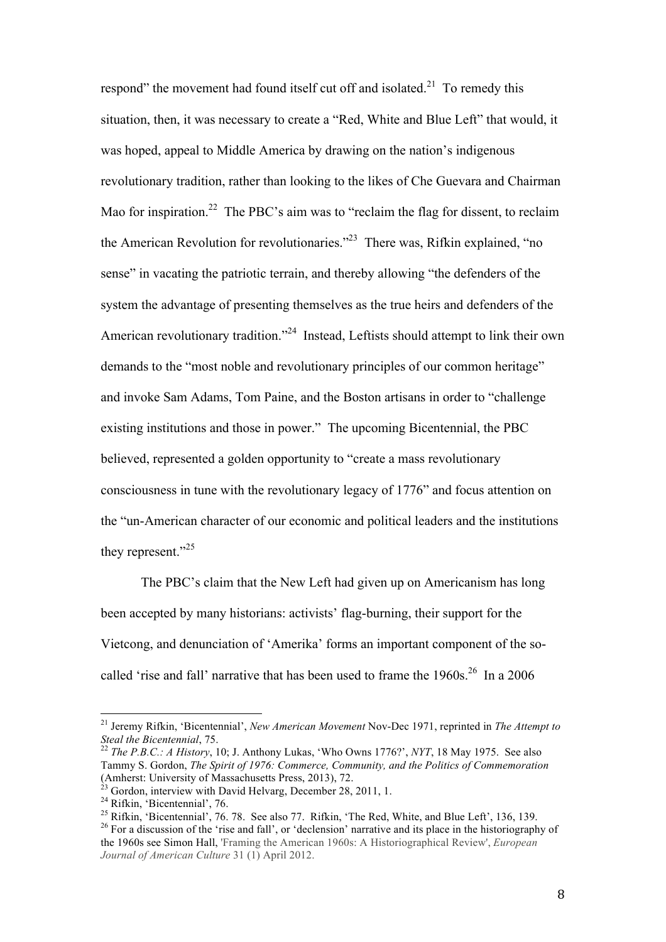respond" the movement had found itself cut off and isolated.<sup>21</sup> To remedy this situation, then, it was necessary to create a "Red, White and Blue Left" that would, it was hoped, appeal to Middle America by drawing on the nation's indigenous revolutionary tradition, rather than looking to the likes of Che Guevara and Chairman Mao for inspiration.<sup>22</sup> The PBC's aim was to "reclaim the flag for dissent, to reclaim the American Revolution for revolutionaries."<sup>23</sup> There was, Rifkin explained, "no sense" in vacating the patriotic terrain, and thereby allowing "the defenders of the system the advantage of presenting themselves as the true heirs and defenders of the American revolutionary tradition."<sup>24</sup> Instead, Leftists should attempt to link their own demands to the "most noble and revolutionary principles of our common heritage" and invoke Sam Adams, Tom Paine, and the Boston artisans in order to "challenge existing institutions and those in power." The upcoming Bicentennial, the PBC believed, represented a golden opportunity to "create a mass revolutionary consciousness in tune with the revolutionary legacy of 1776" and focus attention on the "un-American character of our economic and political leaders and the institutions they represent."<sup>25</sup>

The PBC's claim that the New Left had given up on Americanism has long been accepted by many historians: activists' flag-burning, their support for the Vietcong, and denunciation of 'Amerika' forms an important component of the socalled 'rise and fall' narrative that has been used to frame the  $1960s$ <sup>26</sup> In a 2006

<sup>21</sup> Jeremy Rifkin, 'Bicentennial', *New American Movement* Nov-Dec 1971, reprinted in *The Attempt to Steal the Bicentennial*, 75.

<sup>22</sup> *The P.B.C.: A History*, 10; J. Anthony Lukas, 'Who Owns 1776?', *NYT*, 18 May 1975. See also Tammy S. Gordon, *The Spirit of 1976: Commerce, Community, and the Politics of Commemoration* (Amherst: University of Massachusetts Press, 2013), 72.

Gordon, interview with David Helvarg, December 28, 2011, 1.

 $24$  Rifkin, 'Bicentennial', 76.

<sup>&</sup>lt;sup>25</sup> Rifkin, 'Bicentennial', 76. 78. See also 77. Rifkin, 'The Red, White, and Blue Left', 136, 139.

<sup>&</sup>lt;sup>26</sup> For a discussion of the 'rise and fall', or 'declension' narrative and its place in the historiography of the 1960s see Simon Hall, 'Framing the American 1960s: A Historiographical Review', *European Journal of American Culture* 31 (1) April 2012.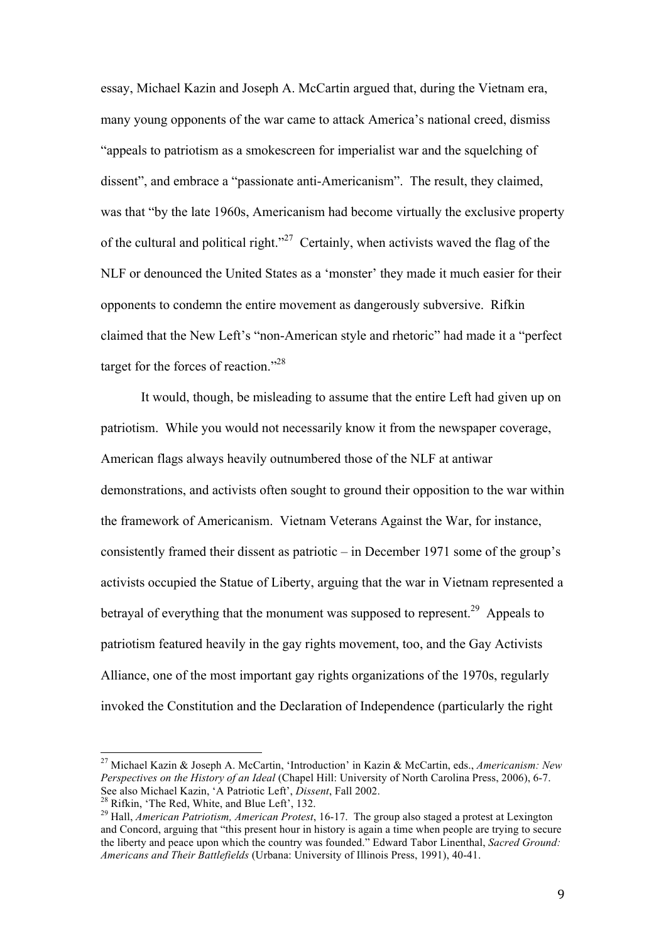essay, Michael Kazin and Joseph A. McCartin argued that, during the Vietnam era, many young opponents of the war came to attack America's national creed, dismiss "appeals to patriotism as a smokescreen for imperialist war and the squelching of dissent", and embrace a "passionate anti-Americanism". The result, they claimed, was that "by the late 1960s, Americanism had become virtually the exclusive property of the cultural and political right.<sup> $27$ </sup> Certainly, when activists waved the flag of the NLF or denounced the United States as a 'monster' they made it much easier for their opponents to condemn the entire movement as dangerously subversive. Rifkin claimed that the New Left's "non-American style and rhetoric" had made it a "perfect target for the forces of reaction."<sup>28</sup>

It would, though, be misleading to assume that the entire Left had given up on patriotism. While you would not necessarily know it from the newspaper coverage, American flags always heavily outnumbered those of the NLF at antiwar demonstrations, and activists often sought to ground their opposition to the war within the framework of Americanism. Vietnam Veterans Against the War, for instance, consistently framed their dissent as patriotic – in December 1971 some of the group's activists occupied the Statue of Liberty, arguing that the war in Vietnam represented a betrayal of everything that the monument was supposed to represent.<sup>29</sup> Appeals to patriotism featured heavily in the gay rights movement, too, and the Gay Activists Alliance, one of the most important gay rights organizations of the 1970s, regularly invoked the Constitution and the Declaration of Independence (particularly the right

<sup>27</sup> Michael Kazin & Joseph A. McCartin, 'Introduction' in Kazin & McCartin, eds., *Americanism: New Perspectives on the History of an Ideal* (Chapel Hill: University of North Carolina Press, 2006), 6-7. See also Michael Kazin, 'A Patriotic Left', *Dissent*, Fall 2002.

 $^{28}$  Rifkin, 'The Red, White, and Blue Left', 132.

<sup>29</sup> Hall, *American Patriotism, American Protest*, 16-17. The group also staged a protest at Lexington and Concord, arguing that "this present hour in history is again a time when people are trying to secure the liberty and peace upon which the country was founded." Edward Tabor Linenthal, *Sacred Ground: Americans and Their Battlefields* (Urbana: University of Illinois Press, 1991), 40-41.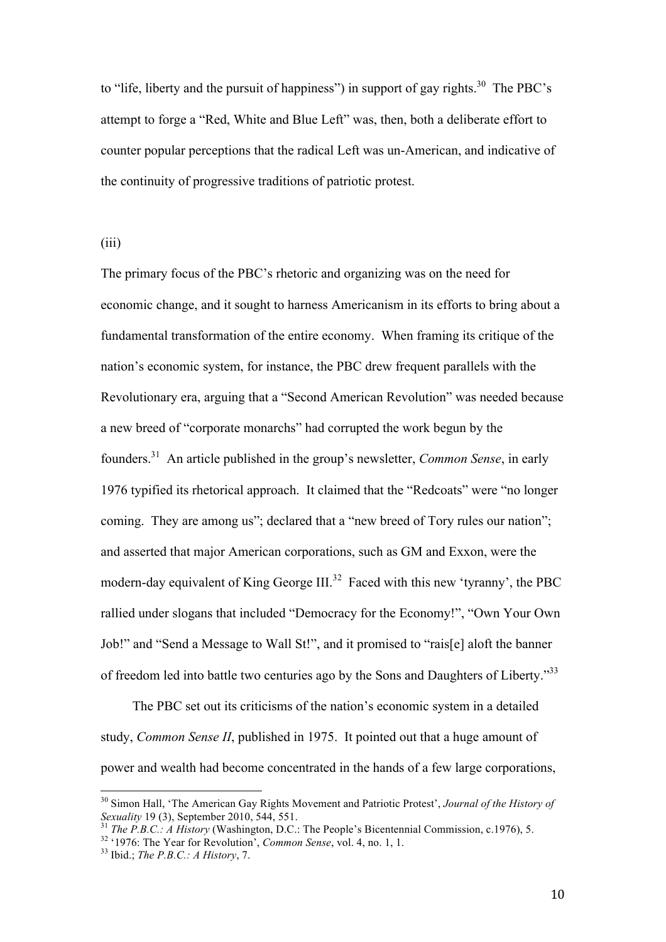to "life, liberty and the pursuit of happiness") in support of gay rights.<sup>30</sup> The PBC's attempt to forge a "Red, White and Blue Left" was, then, both a deliberate effort to counter popular perceptions that the radical Left was un-American, and indicative of the continuity of progressive traditions of patriotic protest.

(iii)

The primary focus of the PBC's rhetoric and organizing was on the need for economic change, and it sought to harness Americanism in its efforts to bring about a fundamental transformation of the entire economy. When framing its critique of the nation's economic system, for instance, the PBC drew frequent parallels with the Revolutionary era, arguing that a "Second American Revolution" was needed because a new breed of "corporate monarchs" had corrupted the work begun by the founders.<sup>31</sup> An article published in the group's newsletter, *Common Sense*, in early 1976 typified its rhetorical approach. It claimed that the "Redcoats" were "no longer coming. They are among us"; declared that a "new breed of Tory rules our nation"; and asserted that major American corporations, such as GM and Exxon, were the modern-day equivalent of King George III.<sup>32</sup> Faced with this new 'tyranny', the PBC rallied under slogans that included "Democracy for the Economy!", "Own Your Own Job!" and "Send a Message to Wall St!", and it promised to "rais[e] aloft the banner of freedom led into battle two centuries ago by the Sons and Daughters of Liberty."<sup>33</sup>

The PBC set out its criticisms of the nation's economic system in a detailed study, *Common Sense II*, published in 1975. It pointed out that a huge amount of power and wealth had become concentrated in the hands of a few large corporations,

<sup>30</sup> Simon Hall, 'The American Gay Rights Movement and Patriotic Protest', *Journal of the History of Sexuality* 19 (3), September 2010, 544, 551.

<sup>31</sup> *The P.B.C.: A History* (Washington, D.C.: The People's Bicentennial Commission, c.1976), 5.

<sup>32</sup> '1976: The Year for Revolution', *Common Sense*, vol. 4, no. 1, 1.

<sup>33</sup> Ibid.; *The P.B.C.: A History*, 7.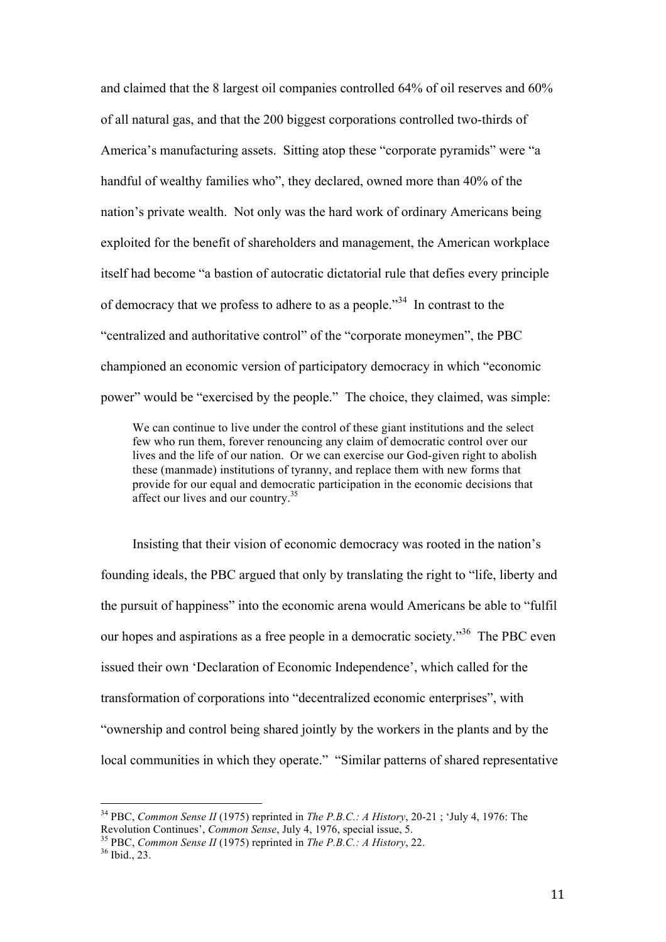and claimed that the 8 largest oil companies controlled 64% of oil reserves and 60% of all natural gas, and that the 200 biggest corporations controlled two-thirds of America's manufacturing assets. Sitting atop these "corporate pyramids" were "a handful of wealthy families who", they declared, owned more than 40% of the nation's private wealth. Not only was the hard work of ordinary Americans being exploited for the benefit of shareholders and management, the American workplace itself had become "a bastion of autocratic dictatorial rule that defies every principle of democracy that we profess to adhere to as a people."<sup>34</sup> In contrast to the "centralized and authoritative control" of the "corporate moneymen", the PBC championed an economic version of participatory democracy in which "economic power" would be "exercised by the people." The choice, they claimed, was simple:

We can continue to live under the control of these giant institutions and the select few who run them, forever renouncing any claim of democratic control over our lives and the life of our nation. Or we can exercise our God-given right to abolish these (manmade) institutions of tyranny, and replace them with new forms that provide for our equal and democratic participation in the economic decisions that affect our lives and our country.<sup>35</sup>

Insisting that their vision of economic democracy was rooted in the nation's founding ideals, the PBC argued that only by translating the right to "life, liberty and the pursuit of happiness" into the economic arena would Americans be able to "fulfil our hopes and aspirations as a free people in a democratic society."<sup>36</sup> The PBC even issued their own 'Declaration of Economic Independence', which called for the transformation of corporations into "decentralized economic enterprises", with "ownership and control being shared jointly by the workers in the plants and by the local communities in which they operate." "Similar patterns of shared representative

<sup>34</sup> PBC, *Common Sense II* (1975) reprinted in *The P.B.C.: A History*, 20-21 ; 'July 4, 1976: The Revolution Continues', *Common Sense*, July 4, 1976, special issue, 5.

<sup>35</sup> PBC, *Common Sense II* (1975) reprinted in *The P.B.C.: A History*, 22.

 $36$  Ibid., 23.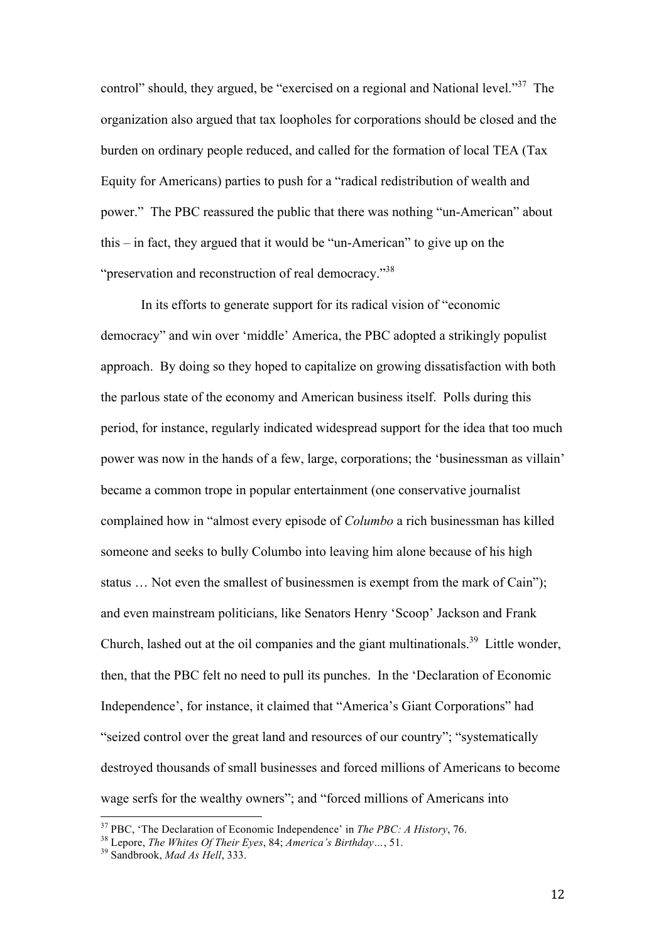control" should, they argued, be "exercised on a regional and National level."<sup>37</sup> The organization also argued that tax loopholes for corporations should be closed and the burden on ordinary people reduced, and called for the formation of local TEA (Tax Equity for Americans) parties to push for a "radical redistribution of wealth and power." The PBC reassured the public that there was nothing "un-American" about this – in fact, they argued that it would be "un-American" to give up on the "preservation and reconstruction of real democracy."<sup>38</sup>

In its efforts to generate support for its radical vision of "economic democracy" and win over 'middle' America, the PBC adopted a strikingly populist approach. By doing so they hoped to capitalize on growing dissatisfaction with both the parlous state of the economy and American business itself. Polls during this period, for instance, regularly indicated widespread support for the idea that too much power was now in the hands of a few, large, corporations; the 'businessman as villain' became a common trope in popular entertainment (one conservative journalist complained how in "almost every episode of *Columbo* a rich businessman has killed someone and seeks to bully Columbo into leaving him alone because of his high status … Not even the smallest of businessmen is exempt from the mark of Cain"); and even mainstream politicians, like Senators Henry 'Scoop' Jackson and Frank Church, lashed out at the oil companies and the giant multinationals.<sup>39</sup> Little wonder, then, that the PBC felt no need to pull its punches. In the 'Declaration of Economic Independence', for instance, it claimed that "America's Giant Corporations" had "seized control over the great land and resources of our country"; "systematically destroyed thousands of small businesses and forced millions of Americans to become wage serfs for the wealthy owners"; and "forced millions of Americans into

<sup>37</sup> PBC, 'The Declaration of Economic Independence' in *The PBC: A History*, 76.

<sup>38</sup> Lepore, *The Whites Of Their Eyes*, 84; *America's Birthday…*, 51.

<sup>39</sup> Sandbrook, *Mad As Hell*, 333.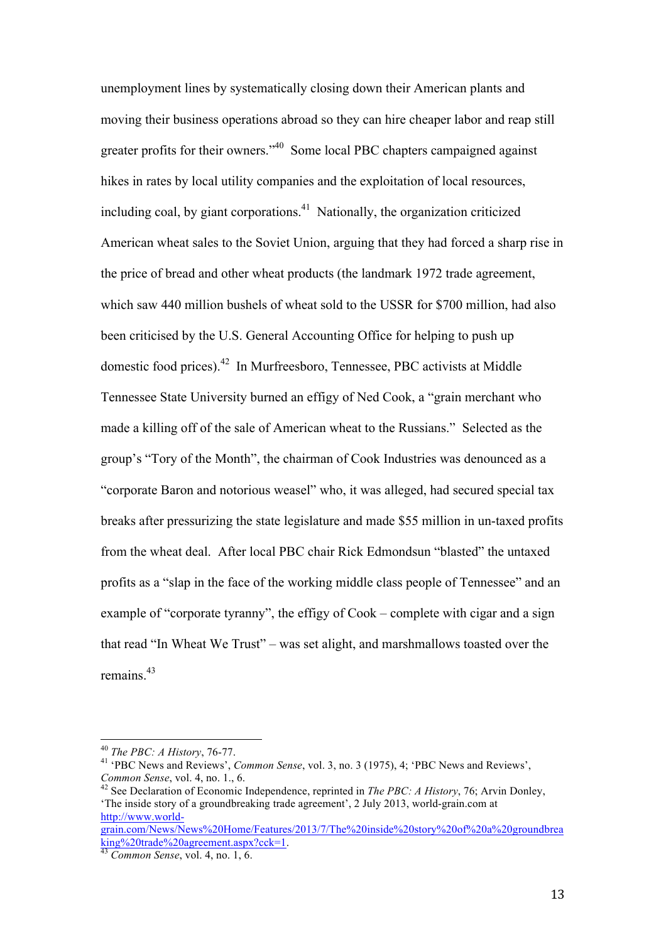unemployment lines by systematically closing down their American plants and moving their business operations abroad so they can hire cheaper labor and reap still greater profits for their owners."<sup>40</sup> Some local PBC chapters campaigned against hikes in rates by local utility companies and the exploitation of local resources, including coal, by giant corporations.<sup>41</sup> Nationally, the organization criticized American wheat sales to the Soviet Union, arguing that they had forced a sharp rise in the price of bread and other wheat products (the landmark 1972 trade agreement, which saw 440 million bushels of wheat sold to the USSR for \$700 million, had also been criticised by the U.S. General Accounting Office for helping to push up domestic food prices).<sup>42</sup> In Murfreesboro, Tennessee, PBC activists at Middle Tennessee State University burned an effigy of Ned Cook, a "grain merchant who made a killing off of the sale of American wheat to the Russians." Selected as the group's "Tory of the Month", the chairman of Cook Industries was denounced as a "corporate Baron and notorious weasel" who, it was alleged, had secured special tax breaks after pressurizing the state legislature and made \$55 million in un-taxed profits from the wheat deal. After local PBC chair Rick Edmondsun "blasted" the untaxed profits as a "slap in the face of the working middle class people of Tennessee" and an example of "corporate tyranny", the effigy of Cook – complete with cigar and a sign that read "In Wheat We Trust" – was set alight, and marshmallows toasted over the remains.<sup>43</sup>

 $\overline{a}$ 

king%20trade%20agreement.aspx?cck=1.

<sup>40</sup> *The PBC: A History*, 76-77.

<sup>41</sup> 'PBC News and Reviews', *Common Sense*, vol. 3, no. 3 (1975), 4; 'PBC News and Reviews', *Common Sense*, vol. 4, no. 1., 6.

<sup>42</sup> See Declaration of Economic Independence, reprinted in *The PBC: A History*, 76; Arvin Donley, 'The inside story of a groundbreaking trade agreement', 2 July 2013, world-grain.com at http://www.worldgrain.com/News/News%20Home/Features/2013/7/The%20inside%20story%20of%20a%20groundbrea

<sup>43</sup> *Common Sense*, vol. 4, no. 1, 6.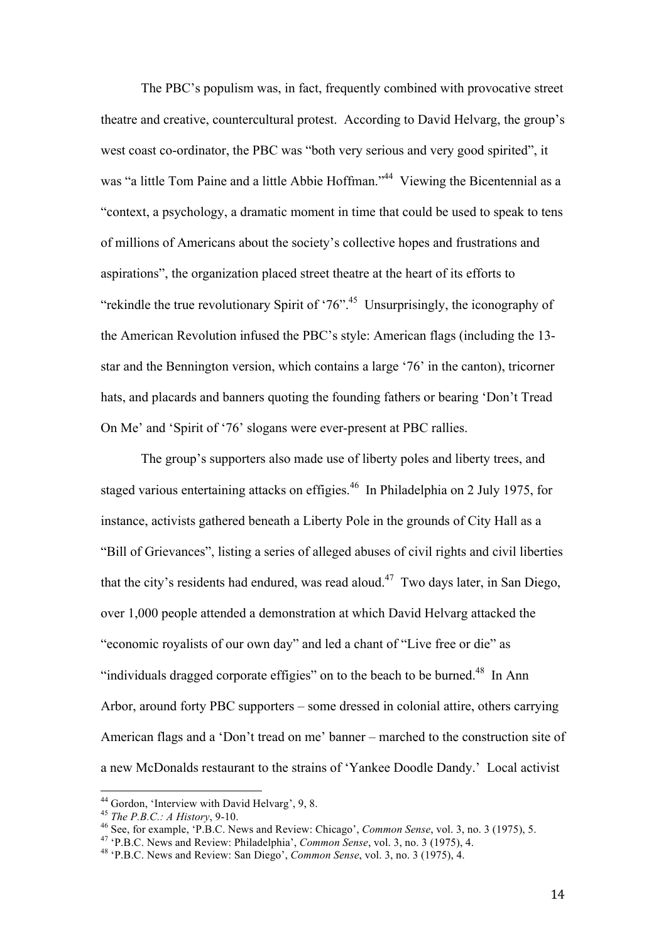The PBC's populism was, in fact, frequently combined with provocative street theatre and creative, countercultural protest. According to David Helvarg, the group's west coast co-ordinator, the PBC was "both very serious and very good spirited", it was "a little Tom Paine and a little Abbie Hoffman."<sup>44</sup> Viewing the Bicentennial as a "context, a psychology, a dramatic moment in time that could be used to speak to tens of millions of Americans about the society's collective hopes and frustrations and aspirations", the organization placed street theatre at the heart of its efforts to "rekindle the true revolutionary Spirit of '76".<sup>45</sup> Unsurprisingly, the iconography of the American Revolution infused the PBC's style: American flags (including the 13 star and the Bennington version, which contains a large '76' in the canton), tricorner hats, and placards and banners quoting the founding fathers or bearing 'Don't Tread On Me' and 'Spirit of '76' slogans were ever-present at PBC rallies.

The group's supporters also made use of liberty poles and liberty trees, and staged various entertaining attacks on effigies.<sup>46</sup> In Philadelphia on 2 July 1975, for instance, activists gathered beneath a Liberty Pole in the grounds of City Hall as a "Bill of Grievances", listing a series of alleged abuses of civil rights and civil liberties that the city's residents had endured, was read aloud.<sup>47</sup> Two days later, in San Diego, over 1,000 people attended a demonstration at which David Helvarg attacked the "economic royalists of our own day" and led a chant of "Live free or die" as "individuals dragged corporate effigies" on to the beach to be burned. $48$  In Ann Arbor, around forty PBC supporters – some dressed in colonial attire, others carrying American flags and a 'Don't tread on me' banner – marched to the construction site of a new McDonalds restaurant to the strains of 'Yankee Doodle Dandy.' Local activist

<sup>&</sup>lt;sup>44</sup> Gordon, 'Interview with David Helvarg', 9, 8.

<sup>45</sup> *The P.B.C.: A History*, 9-10.

<sup>46</sup> See, for example, 'P.B.C. News and Review: Chicago', *Common Sense*, vol. 3, no. 3 (1975), 5.

<sup>47</sup> 'P.B.C. News and Review: Philadelphia', *Common Sense*, vol. 3, no. 3 (1975), 4.

<sup>48</sup> 'P.B.C. News and Review: San Diego', *Common Sense*, vol. 3, no. 3 (1975), 4.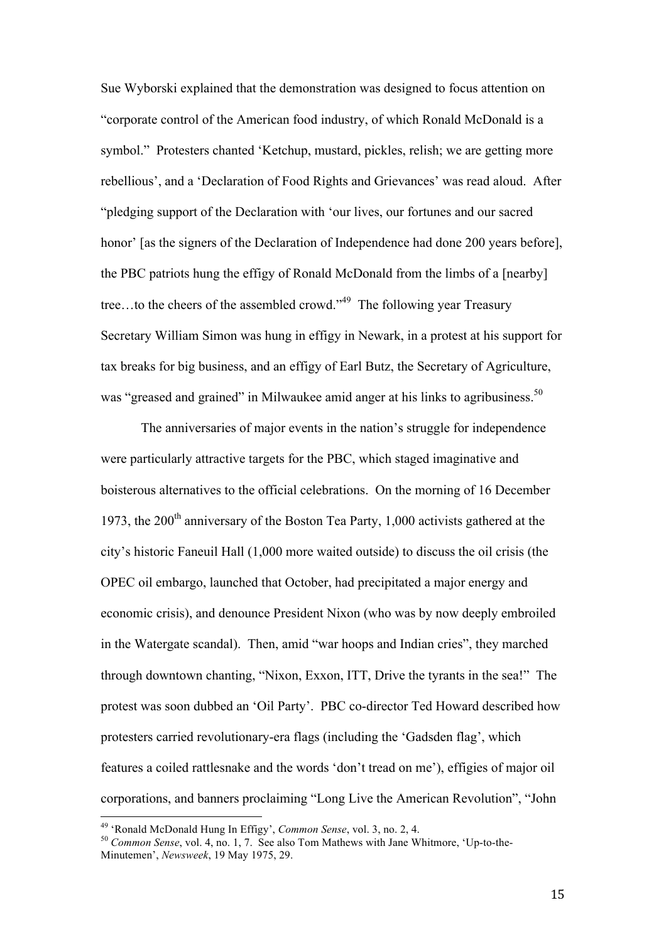Sue Wyborski explained that the demonstration was designed to focus attention on "corporate control of the American food industry, of which Ronald McDonald is a symbol." Protesters chanted 'Ketchup, mustard, pickles, relish; we are getting more rebellious', and a 'Declaration of Food Rights and Grievances' was read aloud. After "pledging support of the Declaration with 'our lives, our fortunes and our sacred honor' [as the signers of the Declaration of Independence had done 200 years before], the PBC patriots hung the effigy of Ronald McDonald from the limbs of a [nearby] tree...to the cheers of the assembled crowd."<sup>49</sup> The following year Treasury Secretary William Simon was hung in effigy in Newark, in a protest at his support for tax breaks for big business, and an effigy of Earl Butz, the Secretary of Agriculture, was "greased and grained" in Milwaukee amid anger at his links to agribusiness.<sup>50</sup>

The anniversaries of major events in the nation's struggle for independence were particularly attractive targets for the PBC, which staged imaginative and boisterous alternatives to the official celebrations. On the morning of 16 December 1973, the  $200<sup>th</sup>$  anniversary of the Boston Tea Party, 1,000 activists gathered at the city's historic Faneuil Hall (1,000 more waited outside) to discuss the oil crisis (the OPEC oil embargo, launched that October, had precipitated a major energy and economic crisis), and denounce President Nixon (who was by now deeply embroiled in the Watergate scandal). Then, amid "war hoops and Indian cries", they marched through downtown chanting, "Nixon, Exxon, ITT, Drive the tyrants in the sea!" The protest was soon dubbed an 'Oil Party'. PBC co-director Ted Howard described how protesters carried revolutionary-era flags (including the 'Gadsden flag', which features a coiled rattlesnake and the words 'don't tread on me'), effigies of major oil corporations, and banners proclaiming "Long Live the American Revolution", "John

<sup>49</sup> 'Ronald McDonald Hung In Effigy', *Common Sense*, vol. 3, no. 2, 4.

<sup>50</sup> *Common Sense*, vol. 4, no. 1, 7. See also Tom Mathews with Jane Whitmore, 'Up-to-the-Minutemen', *Newsweek*, 19 May 1975, 29.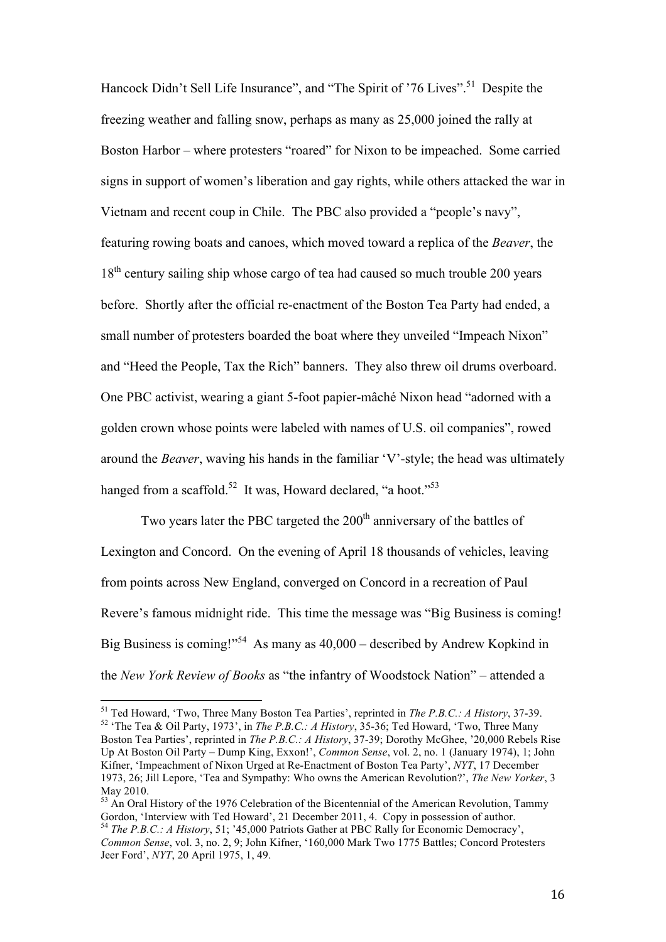Hancock Didn't Sell Life Insurance", and "The Spirit of '76 Lives".<sup>51</sup> Despite the freezing weather and falling snow, perhaps as many as 25,000 joined the rally at Boston Harbor – where protesters "roared" for Nixon to be impeached. Some carried signs in support of women's liberation and gay rights, while others attacked the war in Vietnam and recent coup in Chile. The PBC also provided a "people's navy", featuring rowing boats and canoes, which moved toward a replica of the *Beaver*, the 18<sup>th</sup> century sailing ship whose cargo of tea had caused so much trouble 200 years before. Shortly after the official re-enactment of the Boston Tea Party had ended, a small number of protesters boarded the boat where they unveiled "Impeach Nixon" and "Heed the People, Tax the Rich" banners. They also threw oil drums overboard. One PBC activist, wearing a giant 5-foot papier-mâché Nixon head "adorned with a golden crown whose points were labeled with names of U.S. oil companies", rowed around the *Beaver*, waving his hands in the familiar 'V'-style; the head was ultimately hanged from a scaffold.<sup>52</sup> It was, Howard declared, "a hoot."<sup>53</sup>

Two years later the PBC targeted the  $200<sup>th</sup>$  anniversary of the battles of Lexington and Concord. On the evening of April 18 thousands of vehicles, leaving from points across New England, converged on Concord in a recreation of Paul Revere's famous midnight ride. This time the message was "Big Business is coming! Big Business is coming!"<sup>54</sup> As many as  $40,000$  – described by Andrew Kopkind in the *New York Review of Books* as "the infantry of Woodstock Nation" – attended a

<sup>51</sup> Ted Howard, 'Two, Three Many Boston Tea Parties', reprinted in *The P.B.C.: A History*, 37-39. <sup>52</sup> 'The Tea & Oil Party, 1973', in *The P.B.C.: A History*, 35-36; Ted Howard, 'Two, Three Many Boston Tea Parties', reprinted in *The P.B.C.: A History*, 37-39; Dorothy McGhee, '20,000 Rebels Rise Up At Boston Oil Party – Dump King, Exxon!', *Common Sense*, vol. 2, no. 1 (January 1974), 1; John Kifner, 'Impeachment of Nixon Urged at Re-Enactment of Boston Tea Party', *NYT*, 17 December 1973, 26; Jill Lepore, 'Tea and Sympathy: Who owns the American Revolution?', *The New Yorker*, 3 May 2010.

<sup>&</sup>lt;sup>53</sup> An Oral History of the 1976 Celebration of the Bicentennial of the American Revolution, Tammy Gordon, 'Interview with Ted Howard', 21 December 2011, 4. Copy in possession of author. <sup>54</sup> *The P.B.C.: A History*, 51; '45,000 Patriots Gather at PBC Rally for Economic Democracy',

*Common Sense*, vol. 3, no. 2, 9; John Kifner, '160,000 Mark Two 1775 Battles; Concord Protesters Jeer Ford', *NYT*, 20 April 1975, 1, 49.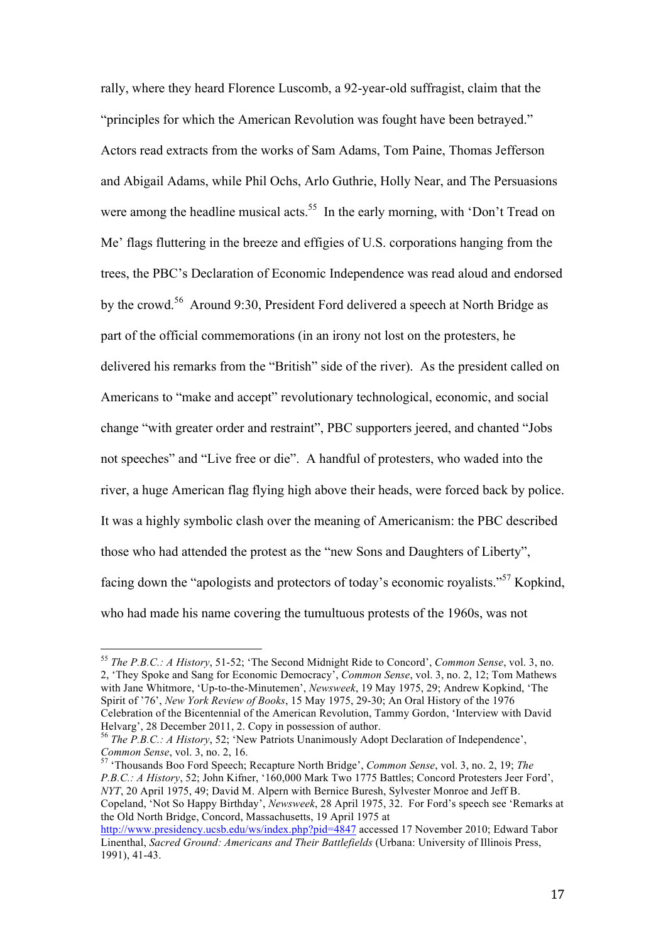rally, where they heard Florence Luscomb, a 92-year-old suffragist, claim that the "principles for which the American Revolution was fought have been betrayed." Actors read extracts from the works of Sam Adams, Tom Paine, Thomas Jefferson and Abigail Adams, while Phil Ochs, Arlo Guthrie, Holly Near, and The Persuasions were among the headline musical acts.<sup>55</sup> In the early morning, with 'Don't Tread on Me' flags fluttering in the breeze and effigies of U.S. corporations hanging from the trees, the PBC's Declaration of Economic Independence was read aloud and endorsed by the crowd.<sup>56</sup> Around 9:30, President Ford delivered a speech at North Bridge as part of the official commemorations (in an irony not lost on the protesters, he delivered his remarks from the "British" side of the river). As the president called on Americans to "make and accept" revolutionary technological, economic, and social change "with greater order and restraint", PBC supporters jeered, and chanted "Jobs not speeches" and "Live free or die". A handful of protesters, who waded into the river, a huge American flag flying high above their heads, were forced back by police. It was a highly symbolic clash over the meaning of Americanism: the PBC described those who had attended the protest as the "new Sons and Daughters of Liberty", facing down the "apologists and protectors of today's economic royalists."<sup>57</sup> Kopkind, who had made his name covering the tumultuous protests of the 1960s, was not

 $\overline{a}$ 

<sup>57</sup> 'Thousands Boo Ford Speech; Recapture North Bridge', *Common Sense*, vol. 3, no. 2, 19; *The P.B.C.: A History*, 52; John Kifner, '160,000 Mark Two 1775 Battles; Concord Protesters Jeer Ford', *NYT*, 20 April 1975, 49; David M. Alpern with Bernice Buresh, Sylvester Monroe and Jeff B. Copeland, 'Not So Happy Birthday', *Newsweek*, 28 April 1975, 32. For Ford's speech see 'Remarks at the Old North Bridge, Concord, Massachusetts, 19 April 1975 at

<sup>55</sup> *The P.B.C.: A History*, 51-52; 'The Second Midnight Ride to Concord', *Common Sense*, vol. 3, no. 2, 'They Spoke and Sang for Economic Democracy', *Common Sense*, vol. 3, no. 2, 12; Tom Mathews with Jane Whitmore, 'Up-to-the-Minutemen', *Newsweek*, 19 May 1975, 29; Andrew Kopkind, 'The Spirit of '76', *New York Review of Books*, 15 May 1975, 29-30; An Oral History of the 1976 Celebration of the Bicentennial of the American Revolution, Tammy Gordon, 'Interview with David Helvarg', 28 December 2011, 2. Copy in possession of author.

<sup>56</sup> *The P.B.C.: A History*, 52; 'New Patriots Unanimously Adopt Declaration of Independence', *Common Sense*, vol. 3, no. 2, 16.

http://www.presidency.ucsb.edu/ws/index.php?pid=4847 accessed 17 November 2010; Edward Tabor Linenthal, *Sacred Ground: Americans and Their Battlefields* (Urbana: University of Illinois Press, 1991), 41-43.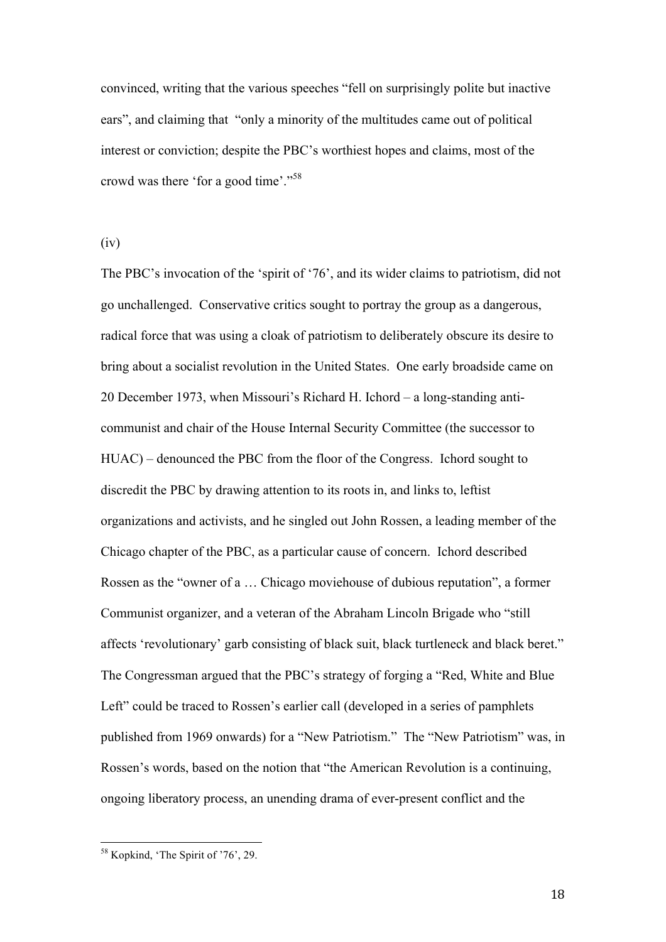convinced, writing that the various speeches "fell on surprisingly polite but inactive ears", and claiming that "only a minority of the multitudes came out of political interest or conviction; despite the PBC's worthiest hopes and claims, most of the crowd was there 'for a good time'."<sup>58</sup>

(iv)

The PBC's invocation of the 'spirit of '76', and its wider claims to patriotism, did not go unchallenged. Conservative critics sought to portray the group as a dangerous, radical force that was using a cloak of patriotism to deliberately obscure its desire to bring about a socialist revolution in the United States. One early broadside came on 20 December 1973, when Missouri's Richard H. Ichord – a long-standing anticommunist and chair of the House Internal Security Committee (the successor to HUAC) – denounced the PBC from the floor of the Congress. Ichord sought to discredit the PBC by drawing attention to its roots in, and links to, leftist organizations and activists, and he singled out John Rossen, a leading member of the Chicago chapter of the PBC, as a particular cause of concern. Ichord described Rossen as the "owner of a … Chicago moviehouse of dubious reputation", a former Communist organizer, and a veteran of the Abraham Lincoln Brigade who "still affects 'revolutionary' garb consisting of black suit, black turtleneck and black beret." The Congressman argued that the PBC's strategy of forging a "Red, White and Blue Left" could be traced to Rossen's earlier call (developed in a series of pamphlets published from 1969 onwards) for a "New Patriotism." The "New Patriotism" was, in Rossen's words, based on the notion that "the American Revolution is a continuing, ongoing liberatory process, an unending drama of ever-present conflict and the

 $\overline{a}$ 

18

<sup>&</sup>lt;sup>58</sup> Kopkind, 'The Spirit of '76', 29.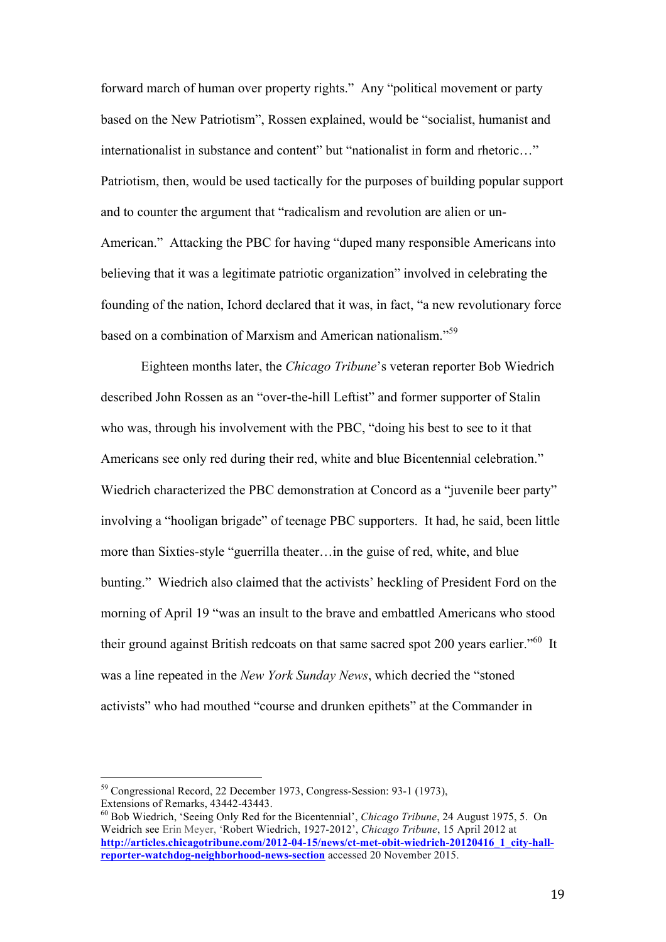forward march of human over property rights." Any "political movement or party based on the New Patriotism", Rossen explained, would be "socialist, humanist and internationalist in substance and content" but "nationalist in form and rhetoric…" Patriotism, then, would be used tactically for the purposes of building popular support and to counter the argument that "radicalism and revolution are alien or un-American." Attacking the PBC for having "duped many responsible Americans into believing that it was a legitimate patriotic organization" involved in celebrating the founding of the nation, Ichord declared that it was, in fact, "a new revolutionary force based on a combination of Marxism and American nationalism."<sup>59</sup>

Eighteen months later, the *Chicago Tribune*'s veteran reporter Bob Wiedrich described John Rossen as an "over-the-hill Leftist" and former supporter of Stalin who was, through his involvement with the PBC, "doing his best to see to it that Americans see only red during their red, white and blue Bicentennial celebration." Wiedrich characterized the PBC demonstration at Concord as a "juvenile beer party" involving a "hooligan brigade" of teenage PBC supporters. It had, he said, been little more than Sixties-style "guerrilla theater…in the guise of red, white, and blue bunting." Wiedrich also claimed that the activists' heckling of President Ford on the morning of April 19 "was an insult to the brave and embattled Americans who stood their ground against British redcoats on that same sacred spot 200 years earlier."<sup>60</sup> It was a line repeated in the *New York Sunday News*, which decried the "stoned activists" who had mouthed "course and drunken epithets" at the Commander in

<sup>&</sup>lt;sup>59</sup> Congressional Record, 22 December 1973, Congress-Session: 93-1 (1973), Extensions of Remarks, 43442-43443.

<sup>60</sup> Bob Wiedrich, 'Seeing Only Red for the Bicentennial', *Chicago Tribune*, 24 August 1975, 5. On Weidrich see Erin Meyer, 'Robert Wiedrich, 1927-2012', *Chicago Tribune*, 15 April 2012 at http://articles.chicagotribune.com/2012-04-15/news/ct-met-obit-wiedrich-20120416\_1\_city-hall**reporter-watchdog-neighborhood-news-section** accessed 20 November 2015.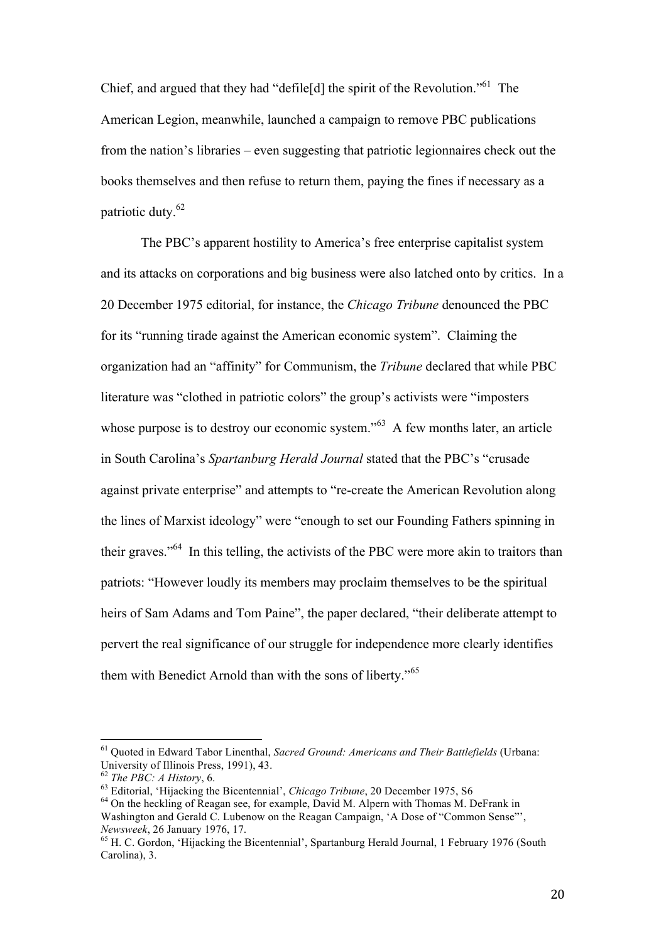Chief, and argued that they had "defile [d] the spirit of the Revolution."<sup>61</sup> The American Legion, meanwhile, launched a campaign to remove PBC publications from the nation's libraries – even suggesting that patriotic legionnaires check out the books themselves and then refuse to return them, paying the fines if necessary as a patriotic duty.<sup>62</sup>

The PBC's apparent hostility to America's free enterprise capitalist system and its attacks on corporations and big business were also latched onto by critics. In a 20 December 1975 editorial, for instance, the *Chicago Tribune* denounced the PBC for its "running tirade against the American economic system". Claiming the organization had an "affinity" for Communism, the *Tribune* declared that while PBC literature was "clothed in patriotic colors" the group's activists were "imposters whose purpose is to destroy our economic system."<sup>63</sup> A few months later, an article in South Carolina's *Spartanburg Herald Journal* stated that the PBC's "crusade against private enterprise" and attempts to "re-create the American Revolution along the lines of Marxist ideology" were "enough to set our Founding Fathers spinning in their graves."<sup>64</sup> In this telling, the activists of the PBC were more akin to traitors than patriots: "However loudly its members may proclaim themselves to be the spiritual heirs of Sam Adams and Tom Paine", the paper declared, "their deliberate attempt to pervert the real significance of our struggle for independence more clearly identifies them with Benedict Arnold than with the sons of liberty."<sup>65</sup>

<sup>61</sup> Quoted in Edward Tabor Linenthal, *Sacred Ground: Americans and Their Battlefields* (Urbana: University of Illinois Press, 1991), 43.

<sup>62</sup> *The PBC: A History*, 6.

<sup>63</sup> Editorial, 'Hijacking the Bicentennial', *Chicago Tribune*, 20 December 1975, S6

<sup>&</sup>lt;sup>64</sup> On the heckling of Reagan see, for example, David M. Alpern with Thomas M. DeFrank in Washington and Gerald C. Lubenow on the Reagan Campaign, 'A Dose of "Common Sense"', *Newsweek*, 26 January 1976, 17.

<sup>&</sup>lt;sup>65</sup> H. C. Gordon, 'Hijacking the Bicentennial', Spartanburg Herald Journal, 1 February 1976 (South Carolina), 3.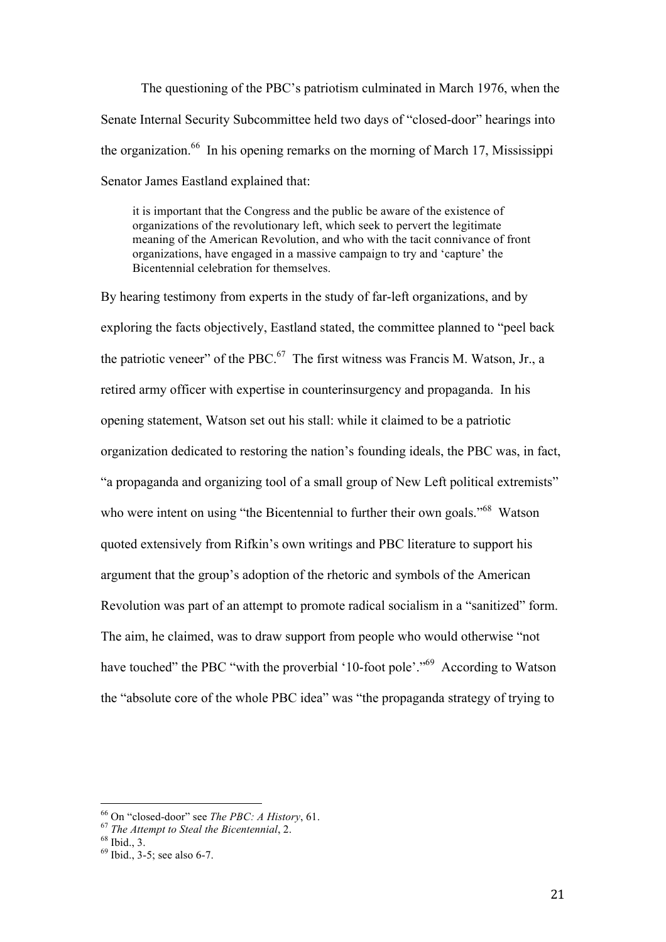The questioning of the PBC's patriotism culminated in March 1976, when the Senate Internal Security Subcommittee held two days of "closed-door" hearings into the organization.<sup>66</sup> In his opening remarks on the morning of March 17, Mississippi Senator James Eastland explained that:

it is important that the Congress and the public be aware of the existence of organizations of the revolutionary left, which seek to pervert the legitimate meaning of the American Revolution, and who with the tacit connivance of front organizations, have engaged in a massive campaign to try and 'capture' the Bicentennial celebration for themselves.

By hearing testimony from experts in the study of far-left organizations, and by exploring the facts objectively, Eastland stated, the committee planned to "peel back the patriotic veneer" of the PBC.<sup>67</sup> The first witness was Francis M. Watson, Jr., a retired army officer with expertise in counterinsurgency and propaganda. In his opening statement, Watson set out his stall: while it claimed to be a patriotic organization dedicated to restoring the nation's founding ideals, the PBC was, in fact, "a propaganda and organizing tool of a small group of New Left political extremists" who were intent on using "the Bicentennial to further their own goals."<sup>68</sup> Watson quoted extensively from Rifkin's own writings and PBC literature to support his argument that the group's adoption of the rhetoric and symbols of the American Revolution was part of an attempt to promote radical socialism in a "sanitized" form. The aim, he claimed, was to draw support from people who would otherwise "not have touched" the PBC "with the proverbial '10-foot pole'."<sup>69</sup> According to Watson the "absolute core of the whole PBC idea" was "the propaganda strategy of trying to

<sup>66</sup> On "closed-door" see *The PBC: A History*, 61.

<sup>67</sup> *The Attempt to Steal the Bicentennial*, 2.

 $68$  Ibid., 3.

 $69$  Ibid., 3-5; see also 6-7.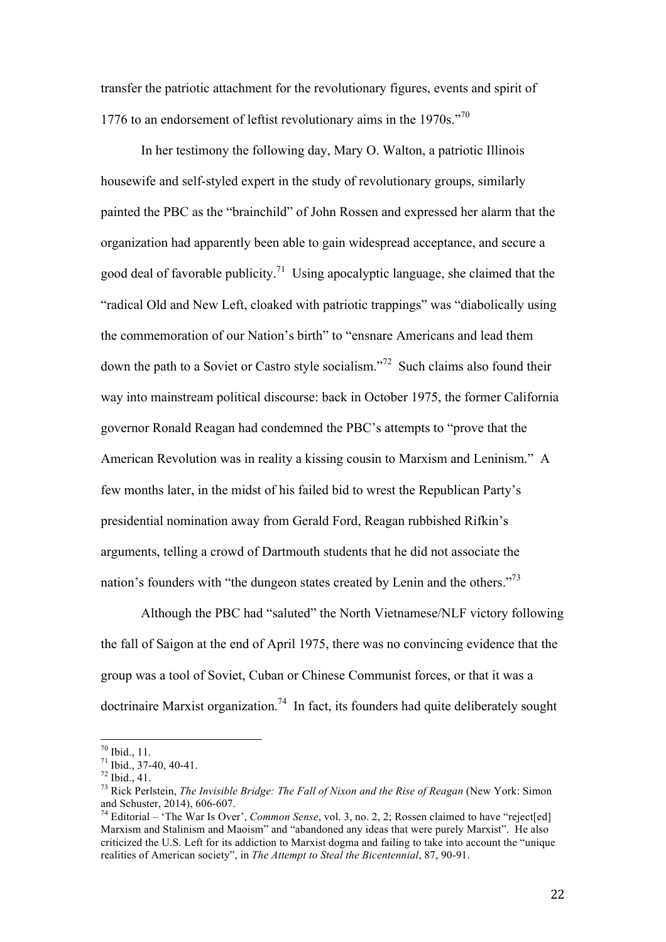transfer the patriotic attachment for the revolutionary figures, events and spirit of 1776 to an endorsement of leftist revolutionary aims in the  $1970s.^{070}$ 

In her testimony the following day, Mary O. Walton, a patriotic Illinois housewife and self-styled expert in the study of revolutionary groups, similarly painted the PBC as the "brainchild" of John Rossen and expressed her alarm that the organization had apparently been able to gain widespread acceptance, and secure a good deal of favorable publicity.<sup>71</sup> Using apocalyptic language, she claimed that the "radical Old and New Left, cloaked with patriotic trappings" was "diabolically using the commemoration of our Nation's birth" to "ensnare Americans and lead them down the path to a Soviet or Castro style socialism."<sup>72</sup> Such claims also found their way into mainstream political discourse: back in October 1975, the former California governor Ronald Reagan had condemned the PBC's attempts to "prove that the American Revolution was in reality a kissing cousin to Marxism and Leninism." A few months later, in the midst of his failed bid to wrest the Republican Party's presidential nomination away from Gerald Ford, Reagan rubbished Rifkin's arguments, telling a crowd of Dartmouth students that he did not associate the nation's founders with "the dungeon states created by Lenin and the others."<sup>73</sup>

Although the PBC had "saluted" the North Vietnamese/NLF victory following the fall of Saigon at the end of April 1975, there was no convincing evidence that the group was a tool of Soviet, Cuban or Chinese Communist forces, or that it was a doctrinaire Marxist organization.<sup>74</sup> In fact, its founders had quite deliberately sought

 $70$  Ibid., 11.

 $71$  Ibid., 37-40, 40-41.

<sup>72</sup> Ibid., 41.

<sup>73</sup> Rick Perlstein, *The Invisible Bridge: The Fall of Nixon and the Rise of Reagan* (New York: Simon and Schuster, 2014), 606-607.

<sup>74</sup> Editorial – 'The War Is Over', *Common Sense*, vol. 3, no. 2, 2; Rossen claimed to have "reject[ed] Marxism and Stalinism and Maoism" and "abandoned any ideas that were purely Marxist". He also criticized the U.S. Left for its addiction to Marxist dogma and failing to take into account the "unique realities of American society", in *The Attempt to Steal the Bicentennial*, 87, 90-91.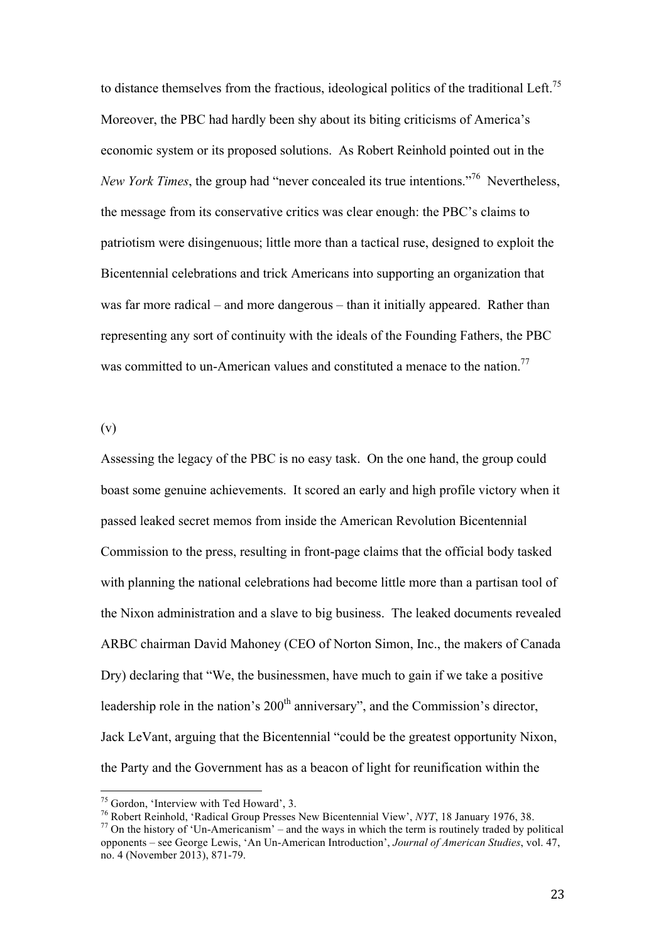to distance themselves from the fractious, ideological politics of the traditional Left.<sup>75</sup> Moreover, the PBC had hardly been shy about its biting criticisms of America's economic system or its proposed solutions. As Robert Reinhold pointed out in the New York Times, the group had "never concealed its true intentions."<sup>76</sup> Nevertheless, the message from its conservative critics was clear enough: the PBC's claims to patriotism were disingenuous; little more than a tactical ruse, designed to exploit the Bicentennial celebrations and trick Americans into supporting an organization that was far more radical – and more dangerous – than it initially appeared. Rather than representing any sort of continuity with the ideals of the Founding Fathers, the PBC was committed to un-American values and constituted a menace to the nation.<sup>77</sup>

(v)

 $\overline{a}$ 

Assessing the legacy of the PBC is no easy task. On the one hand, the group could boast some genuine achievements. It scored an early and high profile victory when it passed leaked secret memos from inside the American Revolution Bicentennial Commission to the press, resulting in front-page claims that the official body tasked with planning the national celebrations had become little more than a partisan tool of the Nixon administration and a slave to big business. The leaked documents revealed ARBC chairman David Mahoney (CEO of Norton Simon, Inc., the makers of Canada Dry) declaring that "We, the businessmen, have much to gain if we take a positive leadership role in the nation's 200<sup>th</sup> anniversary", and the Commission's director, Jack LeVant, arguing that the Bicentennial "could be the greatest opportunity Nixon, the Party and the Government has as a beacon of light for reunification within the

<sup>&</sup>lt;sup>75</sup> Gordon, 'Interview with Ted Howard', 3.

<sup>76</sup> Robert Reinhold, 'Radical Group Presses New Bicentennial View', *NYT*, 18 January 1976, 38.

 $77$  On the history of 'Un-Americanism' – and the ways in which the term is routinely traded by political opponents – see George Lewis, 'An Un-American Introduction', *Journal of American Studies*, vol. 47, no. 4 (November 2013), 871-79.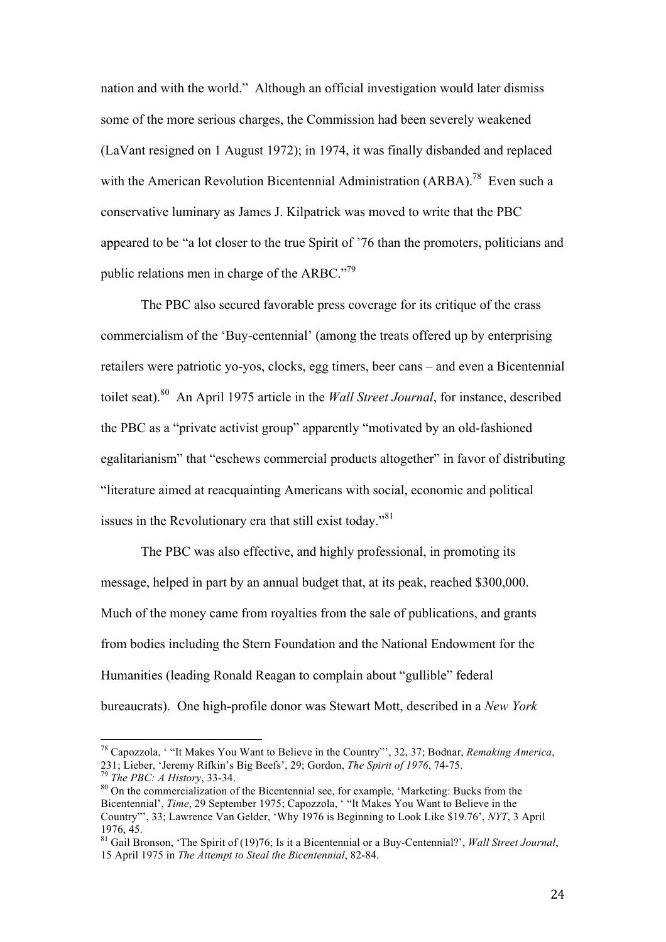nation and with the world." Although an official investigation would later dismiss some of the more serious charges, the Commission had been severely weakened (LaVant resigned on 1 August 1972); in 1974, it was finally disbanded and replaced with the American Revolution Bicentennial Administration (ARBA).<sup>78</sup> Even such a conservative luminary as James J. Kilpatrick was moved to write that the PBC appeared to be "a lot closer to the true Spirit of '76 than the promoters, politicians and public relations men in charge of the ARBC."<sup>79</sup>

The PBC also secured favorable press coverage for its critique of the crass commercialism of the 'Buy-centennial' (among the treats offered up by enterprising retailers were patriotic yo-yos, clocks, egg timers, beer cans – and even a Bicentennial toilet seat). 80 An April 1975 article in the *Wall Street Journal*, for instance, described the PBC as a "private activist group" apparently "motivated by an old-fashioned egalitarianism" that "eschews commercial products altogether" in favor of distributing "literature aimed at reacquainting Americans with social, economic and political issues in the Revolutionary era that still exist today."<sup>81</sup>

The PBC was also effective, and highly professional, in promoting its message, helped in part by an annual budget that, at its peak, reached \$300,000. Much of the money came from royalties from the sale of publications, and grants from bodies including the Stern Foundation and the National Endowment for the Humanities (leading Ronald Reagan to complain about "gullible" federal bureaucrats). One high-profile donor was Stewart Mott, described in a *New York* 

<sup>78</sup> Capozzola, ' "It Makes You Want to Believe in the Country"', 32, 37; Bodnar, *Remaking America*, 231; Lieber, 'Jeremy Rifkin's Big Beefs', 29; Gordon, *The Spirit of 1976*, 74-75.

<sup>79</sup> *The PBC: A History*, 33-34.

<sup>&</sup>lt;sup>80</sup> On the commercialization of the Bicentennial see, for example, 'Marketing: Bucks from the Bicentennial', *Time*, 29 September 1975; Capozzola, ' "It Makes You Want to Believe in the Country"', 33; Lawrence Van Gelder, 'Why 1976 is Beginning to Look Like \$19.76', *NYT*, 3 April 1976, 45.

<sup>81</sup> Gail Bronson, 'The Spirit of (19)76; Is it a Bicentennial or a Buy-Centennial?', *Wall Street Journal*, 15 April 1975 in *The Attempt to Steal the Bicentennial*, 82-84.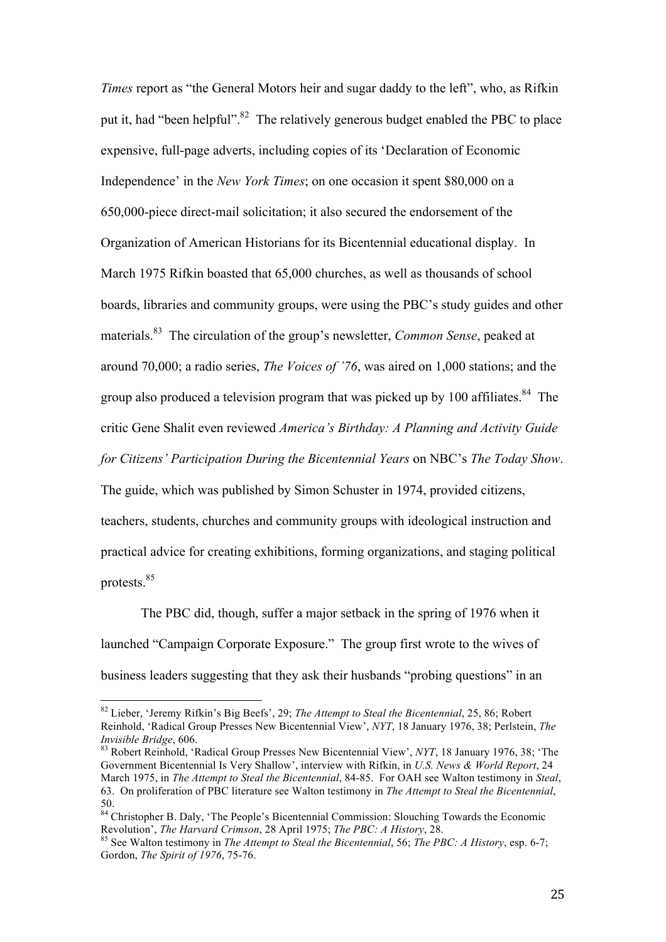*Times* report as "the General Motors heir and sugar daddy to the left", who, as Rifkin put it, had "been helpful".<sup>82</sup> The relatively generous budget enabled the PBC to place expensive, full-page adverts, including copies of its 'Declaration of Economic Independence' in the *New York Times*; on one occasion it spent \$80,000 on a 650,000-piece direct-mail solicitation; it also secured the endorsement of the Organization of American Historians for its Bicentennial educational display. In March 1975 Rifkin boasted that 65,000 churches, as well as thousands of school boards, libraries and community groups, were using the PBC's study guides and other materials.<sup>83</sup> The circulation of the group's newsletter, *Common Sense*, peaked at around 70,000; a radio series, *The Voices of '76*, was aired on 1,000 stations; and the group also produced a television program that was picked up by 100 affiliates.<sup>84</sup> The critic Gene Shalit even reviewed *America's Birthday: A Planning and Activity Guide for Citizens' Participation During the Bicentennial Years* on NBC's *The Today Show*.

The guide, which was published by Simon Schuster in 1974, provided citizens, teachers, students, churches and community groups with ideological instruction and practical advice for creating exhibitions, forming organizations, and staging political protests.<sup>85</sup>

The PBC did, though, suffer a major setback in the spring of 1976 when it launched "Campaign Corporate Exposure." The group first wrote to the wives of business leaders suggesting that they ask their husbands "probing questions" in an

<sup>82</sup> Lieber, 'Jeremy Rifkin's Big Beefs', 29; *The Attempt to Steal the Bicentennial*, 25, 86; Robert Reinhold, 'Radical Group Presses New Bicentennial View', *NYT*, 18 January 1976, 38; Perlstein, *The Invisible Bridge*, 606.

<sup>83</sup> Robert Reinhold, 'Radical Group Presses New Bicentennial View', *NYT*, 18 January 1976, 38; 'The Government Bicentennial Is Very Shallow', interview with Rifkin, in *U.S. News & World Report*, 24 March 1975, in *The Attempt to Steal the Bicentennial*, 84-85. For OAH see Walton testimony in *Steal*, 63. On proliferation of PBC literature see Walton testimony in *The Attempt to Steal the Bicentennial*, 50.

<sup>&</sup>lt;sup>84</sup> Christopher B. Daly, 'The People's Bicentennial Commission: Slouching Towards the Economic Revolution', *The Harvard Crimson*, 28 April 1975; *The PBC: A History*, 28.

<sup>85</sup> See Walton testimony in *The Attempt to Steal the Bicentennial*, 56; *The PBC: A History*, esp. 6-7; Gordon, *The Spirit of 1976*, 75-76.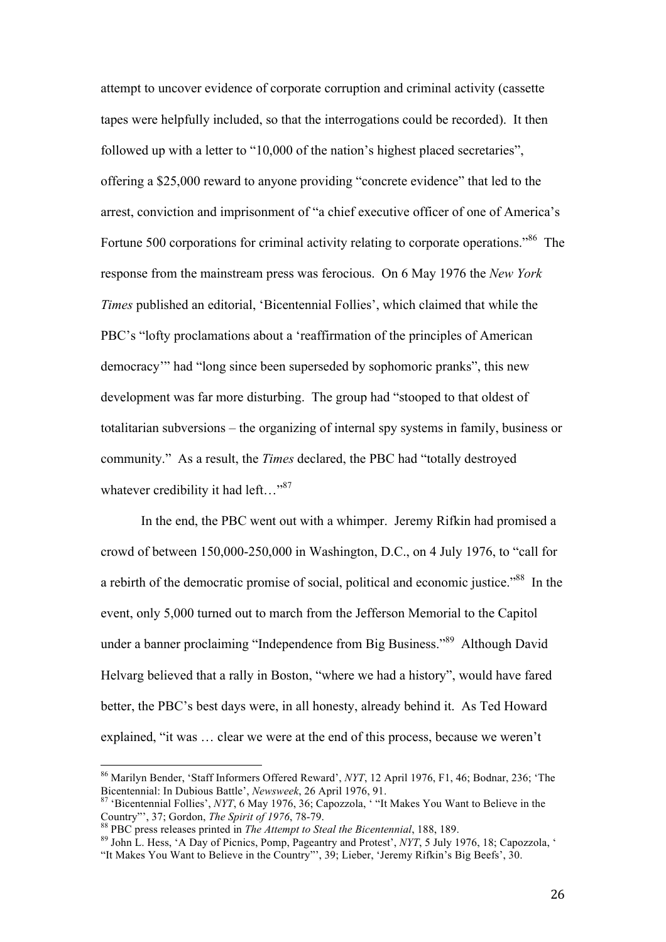attempt to uncover evidence of corporate corruption and criminal activity (cassette tapes were helpfully included, so that the interrogations could be recorded). It then followed up with a letter to "10,000 of the nation's highest placed secretaries", offering a \$25,000 reward to anyone providing "concrete evidence" that led to the arrest, conviction and imprisonment of "a chief executive officer of one of America's Fortune 500 corporations for criminal activity relating to corporate operations."<sup>86</sup> The response from the mainstream press was ferocious. On 6 May 1976 the *New York Times* published an editorial, 'Bicentennial Follies', which claimed that while the PBC's "lofty proclamations about a 'reaffirmation of the principles of American democracy'" had "long since been superseded by sophomoric pranks", this new development was far more disturbing. The group had "stooped to that oldest of totalitarian subversions – the organizing of internal spy systems in family, business or community." As a result, the *Times* declared, the PBC had "totally destroyed whatever credibility it had left..."<sup>87</sup>

In the end, the PBC went out with a whimper. Jeremy Rifkin had promised a crowd of between 150,000-250,000 in Washington, D.C., on 4 July 1976, to "call for a rebirth of the democratic promise of social, political and economic justice."<sup>88</sup> In the event, only 5,000 turned out to march from the Jefferson Memorial to the Capitol under a banner proclaiming "Independence from Big Business."<sup>89</sup> Although David Helvarg believed that a rally in Boston, "where we had a history", would have fared better, the PBC's best days were, in all honesty, already behind it. As Ted Howard explained, "it was … clear we were at the end of this process, because we weren't

<sup>86</sup> Marilyn Bender, 'Staff Informers Offered Reward', *NYT*, 12 April 1976, F1, 46; Bodnar, 236; 'The Bicentennial: In Dubious Battle', *Newsweek*, 26 April 1976, 91.

<sup>87</sup> 'Bicentennial Follies', *NYT*, 6 May 1976, 36; Capozzola, ' "It Makes You Want to Believe in the Country"', 37; Gordon, *The Spirit of 1976*, 78-79.

<sup>88</sup> PBC press releases printed in *The Attempt to Steal the Bicentennial*, 188, 189.

<sup>89</sup> John L. Hess, 'A Day of Picnics, Pomp, Pageantry and Protest', *NYT*, 5 July 1976, 18; Capozzola, ' "It Makes You Want to Believe in the Country"', 39; Lieber, 'Jeremy Rifkin's Big Beefs', 30.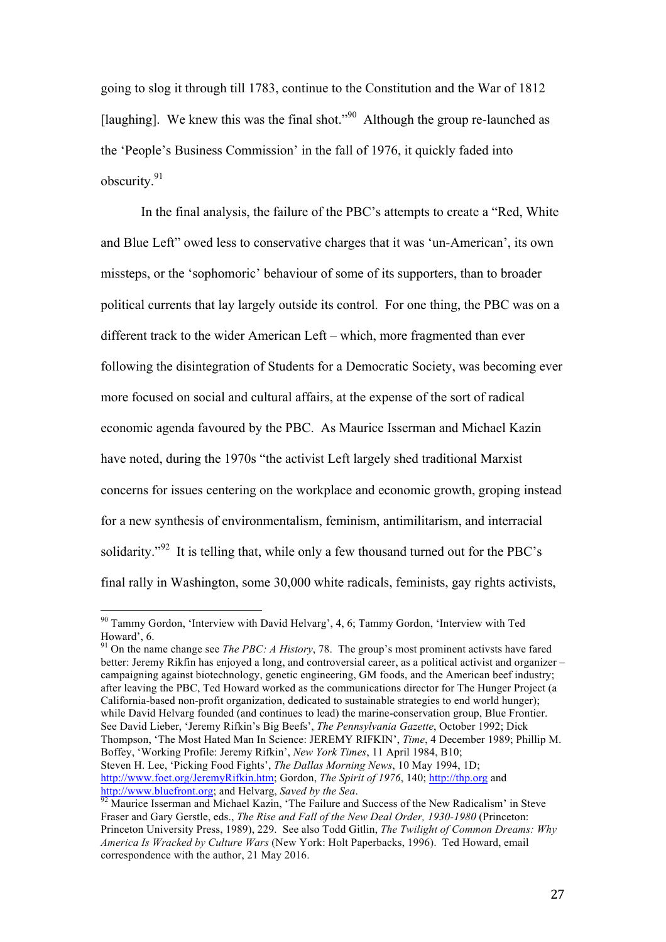going to slog it through till 1783, continue to the Constitution and the War of 1812 [laughing]. We knew this was the final shot."<sup>90</sup> Although the group re-launched as the 'People's Business Commission' in the fall of 1976, it quickly faded into obscurity.<sup>91</sup>

In the final analysis, the failure of the PBC's attempts to create a "Red, White and Blue Left" owed less to conservative charges that it was 'un-American', its own missteps, or the 'sophomoric' behaviour of some of its supporters, than to broader political currents that lay largely outside its control. For one thing, the PBC was on a different track to the wider American Left – which, more fragmented than ever following the disintegration of Students for a Democratic Society, was becoming ever more focused on social and cultural affairs, at the expense of the sort of radical economic agenda favoured by the PBC. As Maurice Isserman and Michael Kazin have noted, during the 1970s "the activist Left largely shed traditional Marxist concerns for issues centering on the workplace and economic growth, groping instead for a new synthesis of environmentalism, feminism, antimilitarism, and interracial solidarity."<sup>92</sup> It is telling that, while only a few thousand turned out for the PBC's final rally in Washington, some 30,000 white radicals, feminists, gay rights activists,

 $\overline{a}$ 

<sup>91</sup> On the name change see *The PBC: A History*, 78. The group's most prominent activsts have fared better: Jeremy Rikfin has enjoyed a long, and controversial career, as a political activist and organizer – campaigning against biotechnology, genetic engineering, GM foods, and the American beef industry; after leaving the PBC, Ted Howard worked as the communications director for The Hunger Project (a California-based non-profit organization, dedicated to sustainable strategies to end world hunger); while David Helvarg founded (and continues to lead) the marine-conservation group, Blue Frontier. See David Lieber, 'Jeremy Rifkin's Big Beefs', *The Pennsylvania Gazette*, October 1992; Dick Thompson, 'The Most Hated Man In Science: JEREMY RIFKIN', *Time*, 4 December 1989; Phillip M. Boffey, 'Working Profile: Jeremy Rifkin', *New York Times*, 11 April 1984, B10; Steven H. Lee, 'Picking Food Fights', *The Dallas Morning News*, 10 May 1994, 1D; http://www.foet.org/JeremyRifkin.htm; Gordon, *The Spirit of 1976*, 140; http://thp.org and http://www.bluefront.org; and Helvarg, *Saved by the Sea*.

<sup>&</sup>lt;sup>90</sup> Tammy Gordon, 'Interview with David Helvarg', 4, 6; Tammy Gordon, 'Interview with Ted Howard', 6.

<sup>&</sup>lt;sup>92</sup> Maurice Isserman and Michael Kazin, 'The Failure and Success of the New Radicalism' in Steve Fraser and Gary Gerstle, eds., *The Rise and Fall of the New Deal Order, 1930-1980* (Princeton: Princeton University Press, 1989), 229. See also Todd Gitlin, *The Twilight of Common Dreams: Why America Is Wracked by Culture Wars* (New York: Holt Paperbacks, 1996). Ted Howard, email correspondence with the author, 21 May 2016.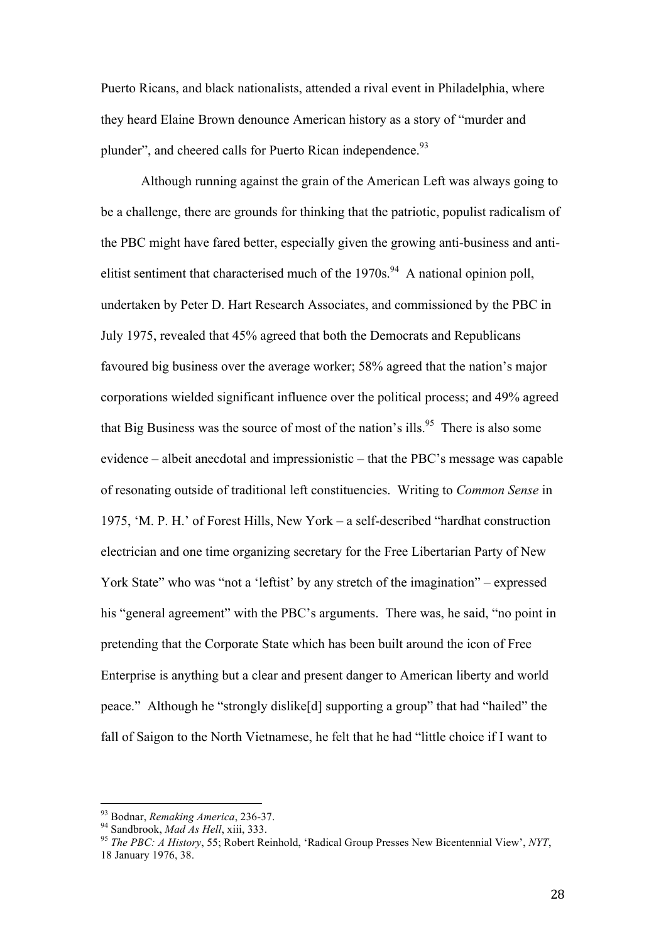Puerto Ricans, and black nationalists, attended a rival event in Philadelphia, where they heard Elaine Brown denounce American history as a story of "murder and plunder", and cheered calls for Puerto Rican independence.<sup>93</sup>

Although running against the grain of the American Left was always going to be a challenge, there are grounds for thinking that the patriotic, populist radicalism of the PBC might have fared better, especially given the growing anti-business and antielitist sentiment that characterised much of the  $1970s$ .<sup>94</sup> A national opinion poll, undertaken by Peter D. Hart Research Associates, and commissioned by the PBC in July 1975, revealed that 45% agreed that both the Democrats and Republicans favoured big business over the average worker; 58% agreed that the nation's major corporations wielded significant influence over the political process; and 49% agreed that Big Business was the source of most of the nation's ills.<sup>95</sup> There is also some evidence – albeit anecdotal and impressionistic – that the PBC's message was capable of resonating outside of traditional left constituencies. Writing to *Common Sense* in 1975, 'M. P. H.' of Forest Hills, New York – a self-described "hardhat construction electrician and one time organizing secretary for the Free Libertarian Party of New York State" who was "not a 'leftist' by any stretch of the imagination" – expressed his "general agreement" with the PBC's arguments. There was, he said, "no point in pretending that the Corporate State which has been built around the icon of Free Enterprise is anything but a clear and present danger to American liberty and world peace." Although he "strongly dislike[d] supporting a group" that had "hailed" the fall of Saigon to the North Vietnamese, he felt that he had "little choice if I want to

<sup>93</sup> Bodnar, *Remaking America*, 236-37.

<sup>94</sup> Sandbrook, *Mad As Hell*, xiii, 333.

<sup>95</sup> *The PBC: A History*, 55; Robert Reinhold, 'Radical Group Presses New Bicentennial View', *NYT*, 18 January 1976, 38.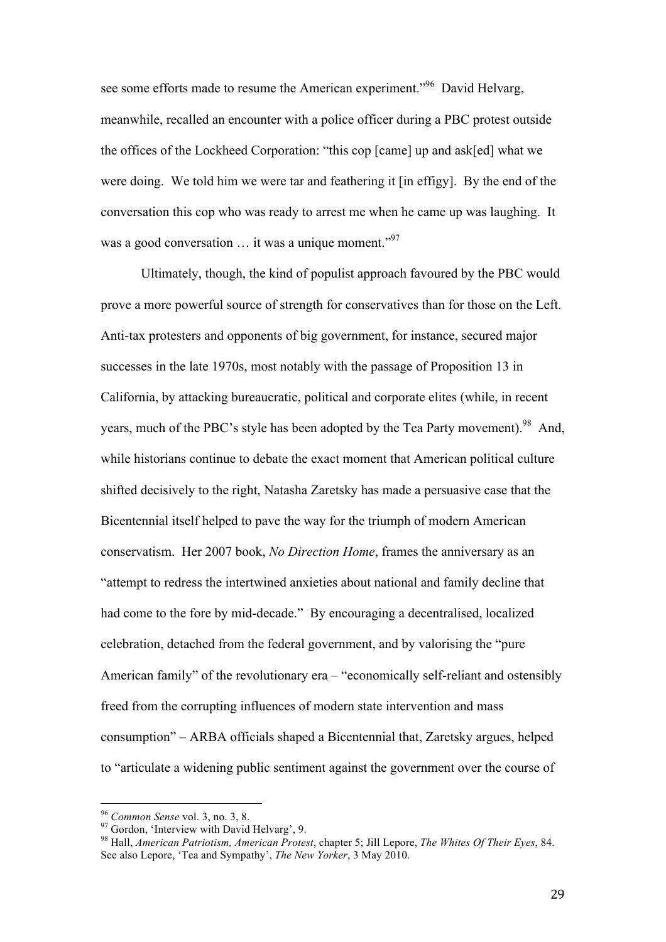see some efforts made to resume the American experiment."<sup>96</sup> David Helvarg, meanwhile, recalled an encounter with a police officer during a PBC protest outside the offices of the Lockheed Corporation: "this cop [came] up and ask[ed] what we were doing. We told him we were tar and feathering it [in effigy]. By the end of the conversation this cop who was ready to arrest me when he came up was laughing. It was a good conversation  $\ldots$  it was a unique moment."<sup>97</sup>

Ultimately, though, the kind of populist approach favoured by the PBC would prove a more powerful source of strength for conservatives than for those on the Left. Anti-tax protesters and opponents of big government, for instance, secured major successes in the late 1970s, most notably with the passage of Proposition 13 in California, by attacking bureaucratic, political and corporate elites (while, in recent years, much of the PBC's style has been adopted by the Tea Party movement).<sup>98</sup> And, while historians continue to debate the exact moment that American political culture shifted decisively to the right, Natasha Zaretsky has made a persuasive case that the Bicentennial itself helped to pave the way for the triumph of modern American conservatism. Her 2007 book, *No Direction Home*, frames the anniversary as an "attempt to redress the intertwined anxieties about national and family decline that had come to the fore by mid-decade." By encouraging a decentralised, localized celebration, detached from the federal government, and by valorising the "pure American family" of the revolutionary era – "economically self-reliant and ostensibly freed from the corrupting influences of modern state intervention and mass consumption" – ARBA officials shaped a Bicentennial that, Zaretsky argues, helped to "articulate a widening public sentiment against the government over the course of

<sup>96</sup> *Common Sense* vol. 3, no. 3, 8.

 $^{97}$  Gordon, 'Interview with David Helvarg', 9.

<sup>98</sup> Hall, *American Patriotism, American Protest*, chapter 5; Jill Lepore, *The Whites Of Their Eyes*, 84. See also Lepore, 'Tea and Sympathy', *The New Yorker*, 3 May 2010.